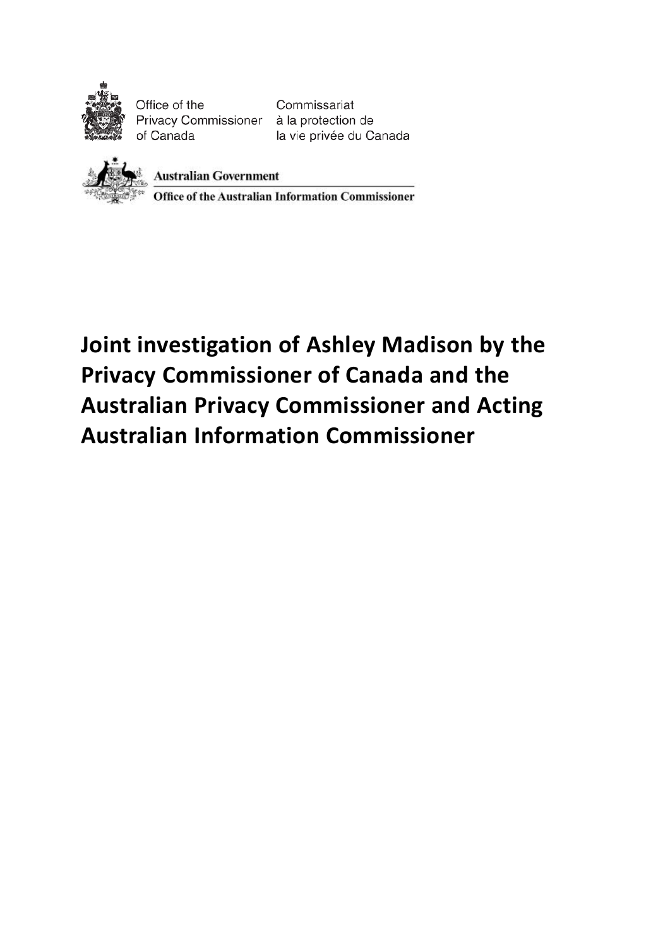

Office of the Privacy Commissioner à la protection de of Canada

Commissariat la vie privée du Canada



**Australian Government** 

Office of the Australian Information Commissioner

**Joint investigation of Ashley Madison by the Privacy Commissioner of Canada and the Australian Privacy Commissioner and Acting Australian Information Commissioner**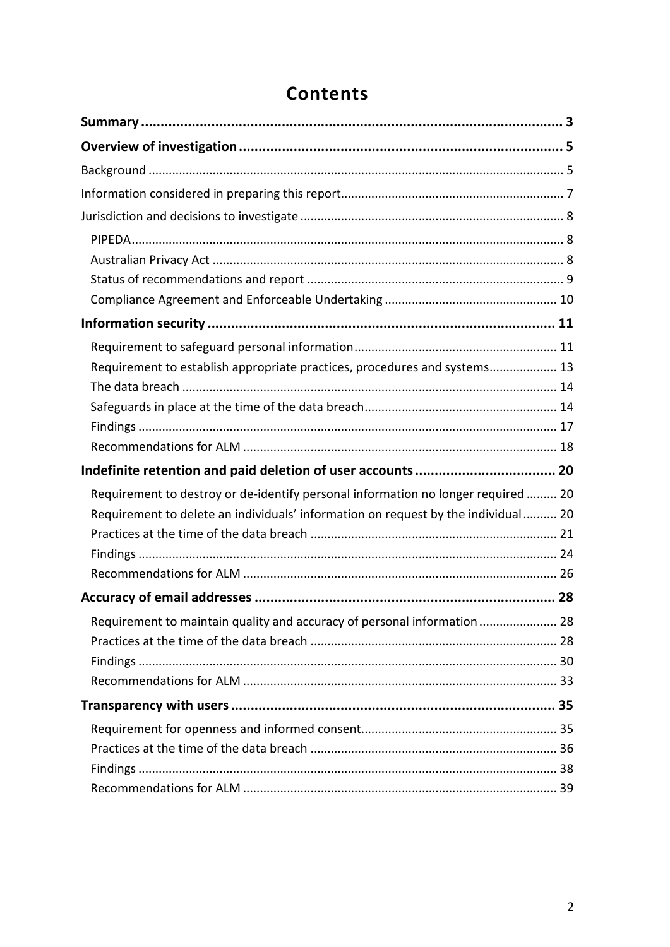| Requirement to establish appropriate practices, procedures and systems 13         |  |
|-----------------------------------------------------------------------------------|--|
|                                                                                   |  |
|                                                                                   |  |
|                                                                                   |  |
|                                                                                   |  |
|                                                                                   |  |
|                                                                                   |  |
| Requirement to destroy or de-identify personal information no longer required  20 |  |
| Requirement to delete an individuals' information on request by the individual 20 |  |
|                                                                                   |  |
|                                                                                   |  |
|                                                                                   |  |
|                                                                                   |  |
| Requirement to maintain quality and accuracy of personal information  28          |  |
|                                                                                   |  |
|                                                                                   |  |
|                                                                                   |  |
|                                                                                   |  |
|                                                                                   |  |
|                                                                                   |  |
|                                                                                   |  |

# **Contents**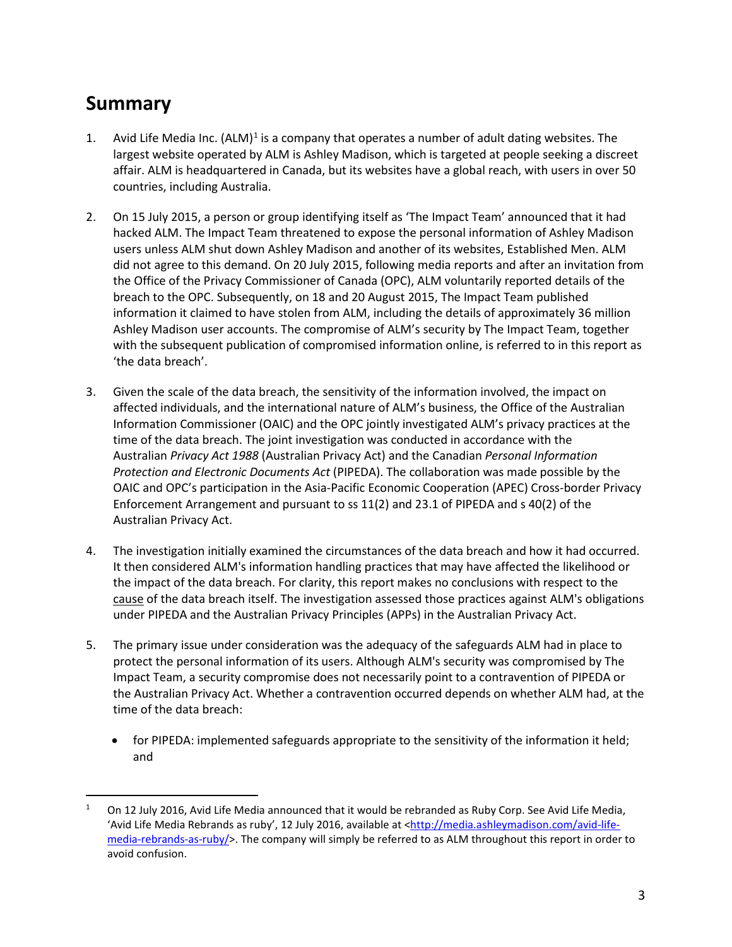## **Summary**

- <span id="page-2-0"></span>[1](#page-2-1). Avid Life Media Inc.  $(ALM)^1$  is a company that operates a number of adult dating websites. The largest website operated by ALM is Ashley Madison, which is targeted at people seeking a discreet affair. ALM is headquartered in Canada, but its websites have a global reach, with users in over 50 countries, including Australia.
- 2. On 15 July 2015, a person or group identifying itself as 'The Impact Team' announced that it had hacked ALM. The Impact Team threatened to expose the personal information of Ashley Madison users unless ALM shut down Ashley Madison and another of its websites, Established Men. ALM did not agree to this demand. On 20 July 2015, following media reports and after an invitation from the Office of the Privacy Commissioner of Canada (OPC), ALM voluntarily reported details of the breach to the OPC. Subsequently, on 18 and 20 August 2015, The Impact Team published information it claimed to have stolen from ALM, including the details of approximately 36 million Ashley Madison user accounts. The compromise of ALM's security by The Impact Team, together with the subsequent publication of compromised information online, is referred to in this report as 'the data breach'.
- 3. Given the scale of the data breach, the sensitivity of the information involved, the impact on affected individuals, and the international nature of ALM's business, the Office of the Australian Information Commissioner (OAIC) and the OPC jointly investigated ALM's privacy practices at the time of the data breach. The joint investigation was conducted in accordance with the Australian *Privacy Act 1988* (Australian Privacy Act) and the Canadian *Personal Information Protection and Electronic Documents Act* (PIPEDA). The collaboration was made possible by the OAIC and OPC's participation in the Asia-Pacific Economic Cooperation (APEC) Cross-border Privacy Enforcement Arrangement and pursuant to ss 11(2) and 23.1 of PIPEDA and s 40(2) of the Australian Privacy Act.
- 4. The investigation initially examined the circumstances of the data breach and how it had occurred. It then considered ALM's information handling practices that may have affected the likelihood or the impact of the data breach. For clarity, this report makes no conclusions with respect to the cause of the data breach itself. The investigation assessed those practices against ALM's obligations under PIPEDA and the Australian Privacy Principles (APPs) in the Australian Privacy Act.
- 5. The primary issue under consideration was the adequacy of the safeguards ALM had in place to protect the personal information of its users. Although ALM's security was compromised by The Impact Team, a security compromise does not necessarily point to a contravention of PIPEDA or the Australian Privacy Act. Whether a contravention occurred depends on whether ALM had, at the time of the data breach:
	- for PIPEDA: implemented safeguards appropriate to the sensitivity of the information it held; and

<span id="page-2-1"></span> <sup>1</sup> On 12 July 2016, Avid Life Media announced that it would be rebranded as Ruby Corp. See Avid Life Media, 'Avid Life Media Rebrands as ruby', 12 July 2016, available at [<http://media.ashleymadison.com/avid-life](http://media.ashleymadison.com/avid-life-media-rebrands-as-ruby/)[media-rebrands-as-ruby/>](http://media.ashleymadison.com/avid-life-media-rebrands-as-ruby/). The company will simply be referred to as ALM throughout this report in order to avoid confusion.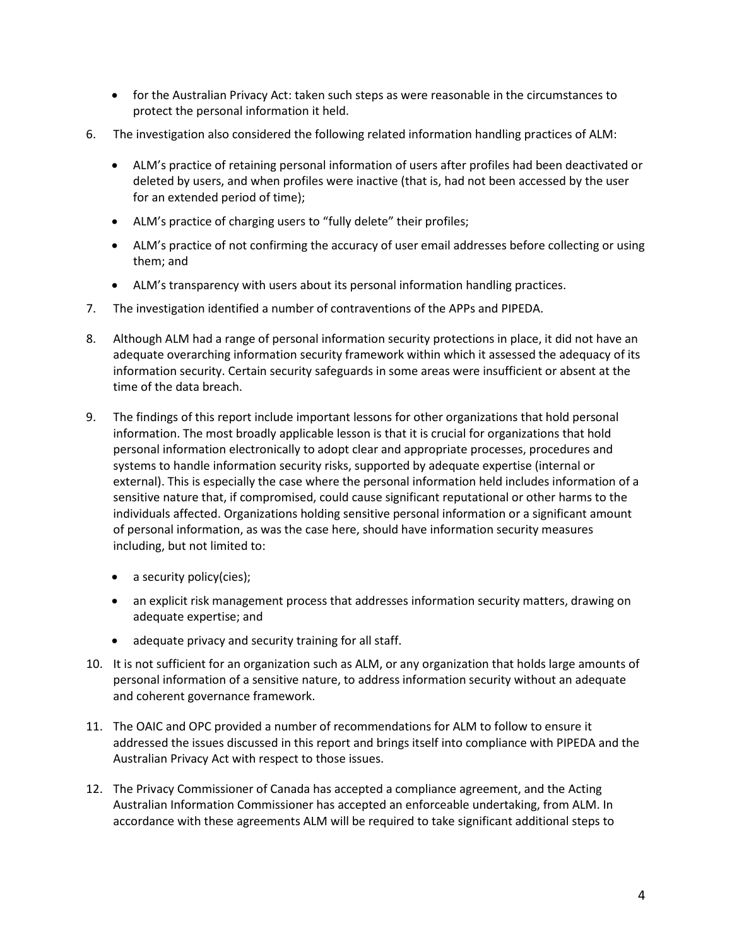- for the Australian Privacy Act: taken such steps as were reasonable in the circumstances to protect the personal information it held.
- 6. The investigation also considered the following related information handling practices of ALM:
	- ALM's practice of retaining personal information of users after profiles had been deactivated or deleted by users, and when profiles were inactive (that is, had not been accessed by the user for an extended period of time);
	- ALM's practice of charging users to "fully delete" their profiles;
	- ALM's practice of not confirming the accuracy of user email addresses before collecting or using them; and
	- ALM's transparency with users about its personal information handling practices.
- 7. The investigation identified a number of contraventions of the APPs and PIPEDA.
- 8. Although ALM had a range of personal information security protections in place, it did not have an adequate overarching information security framework within which it assessed the adequacy of its information security. Certain security safeguards in some areas were insufficient or absent at the time of the data breach.
- 9. The findings of this report include important lessons for other organizations that hold personal information. The most broadly applicable lesson is that it is crucial for organizations that hold personal information electronically to adopt clear and appropriate processes, procedures and systems to handle information security risks, supported by adequate expertise (internal or external). This is especially the case where the personal information held includes information of a sensitive nature that, if compromised, could cause significant reputational or other harms to the individuals affected. Organizations holding sensitive personal information or a significant amount of personal information, as was the case here, should have information security measures including, but not limited to:
	- a security policy(cies);
	- an explicit risk management process that addresses information security matters, drawing on adequate expertise; and
	- adequate privacy and security training for all staff.
- 10. It is not sufficient for an organization such as ALM, or any organization that holds large amounts of personal information of a sensitive nature, to address information security without an adequate and coherent governance framework.
- 11. The OAIC and OPC provided a number of recommendations for ALM to follow to ensure it addressed the issues discussed in this report and brings itself into compliance with PIPEDA and the Australian Privacy Act with respect to those issues.
- 12. The Privacy Commissioner of Canada has accepted a compliance agreement, and the Acting Australian Information Commissioner has accepted an enforceable undertaking, from ALM. In accordance with these agreements ALM will be required to take significant additional steps to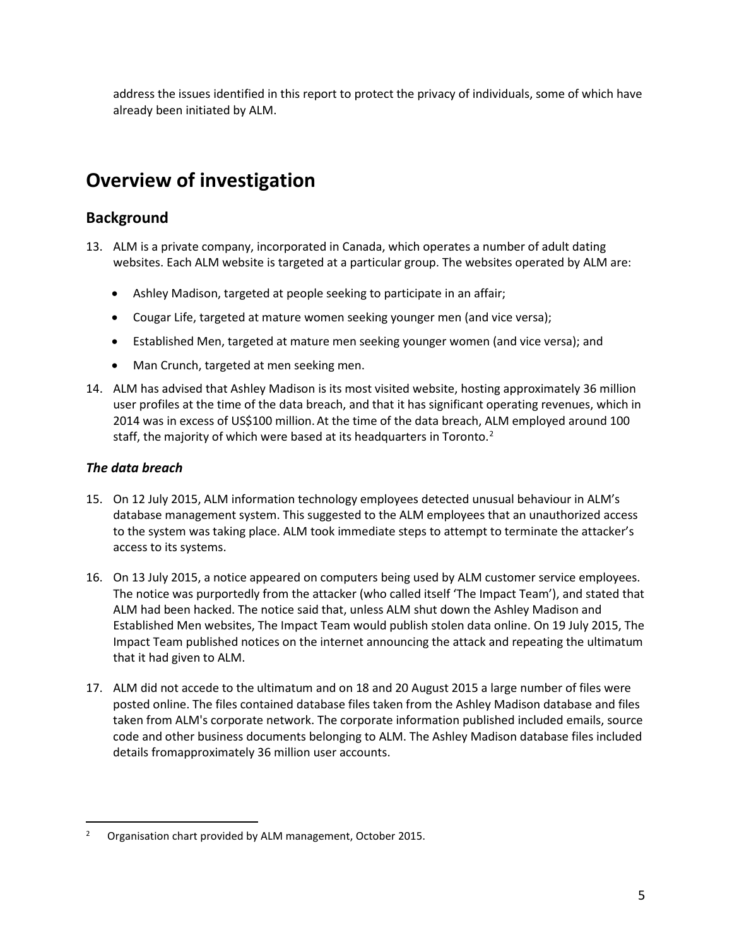address the issues identified in this report to protect the privacy of individuals, some of which have already been initiated by ALM.

# **Overview of investigation**

## <span id="page-4-0"></span>**Background**

- <span id="page-4-1"></span>13. ALM is a private company, incorporated in Canada, which operates a number of adult dating websites. Each ALM website is targeted at a particular group. The websites operated by ALM are:
	- Ashley Madison, targeted at people seeking to participate in an affair;
	- Cougar Life, targeted at mature women seeking younger men (and vice versa);
	- Established Men, targeted at mature men seeking younger women (and vice versa); and
	- Man Crunch, targeted at men seeking men.
- 14. ALM has advised that Ashley Madison is its most visited website, hosting approximately 36 million user profiles at the time of the data breach, and that it has significant operating revenues, which in 2014 was in excess of US\$100 million.At the time of the data breach, ALM employed around 100 staff, the majority of which were based at its headquarters in Toronto.<sup>[2](#page-4-2)</sup>

## *The data breach*

- 15. On 12 July 2015, ALM information technology employees detected unusual behaviour in ALM's database management system. This suggested to the ALM employees that an unauthorized access to the system was taking place. ALM took immediate steps to attempt to terminate the attacker's access to its systems.
- 16. On 13 July 2015, a notice appeared on computers being used by ALM customer service employees. The notice was purportedly from the attacker (who called itself 'The Impact Team'), and stated that ALM had been hacked. The notice said that, unless ALM shut down the Ashley Madison and Established Men websites, The Impact Team would publish stolen data online. On 19 July 2015, The Impact Team published notices on the internet announcing the attack and repeating the ultimatum that it had given to ALM.
- 17. ALM did not accede to the ultimatum and on 18 and 20 August 2015 a large number of files were posted online. The files contained database files taken from the Ashley Madison database and files taken from ALM's corporate network. The corporate information published included emails, source code and other business documents belonging to ALM. The Ashley Madison database files included details fromapproximately 36 million user accounts.

<span id="page-4-2"></span> <sup>2</sup> Organisation chart provided by ALM management, October 2015.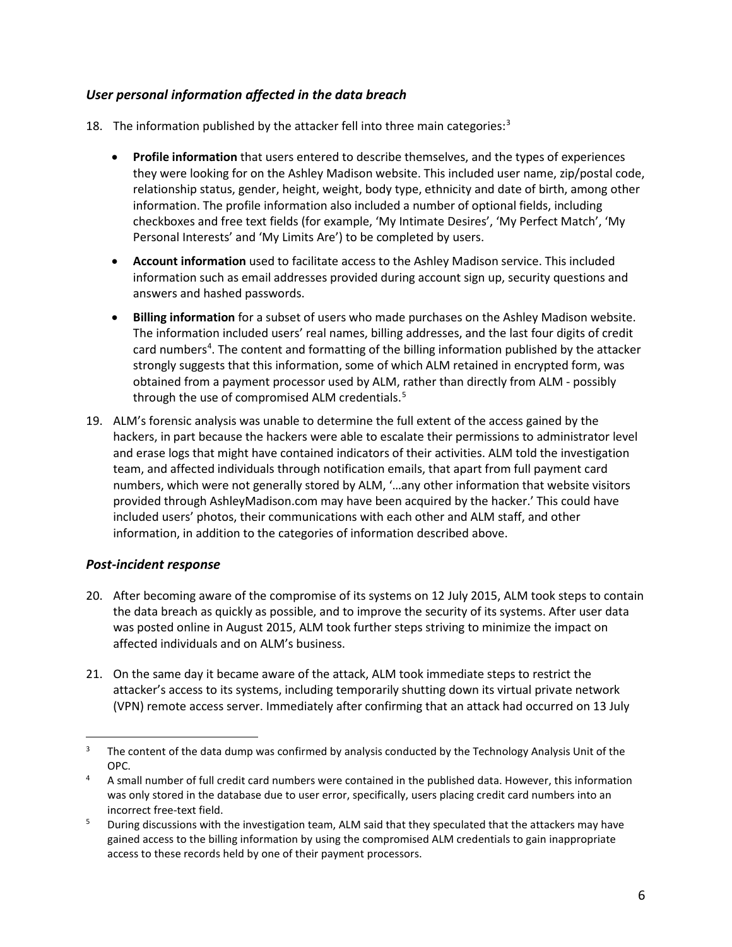## *User personal information affected in the data breach*

- 18. The information published by the attacker fell into three main categories:<sup>[3](#page-5-0)</sup>
	- **Profile information** that users entered to describe themselves, and the types of experiences they were looking for on the Ashley Madison website. This included user name, zip/postal code, relationship status, gender, height, weight, body type, ethnicity and date of birth, among other information. The profile information also included a number of optional fields, including checkboxes and free text fields (for example, 'My Intimate Desires', 'My Perfect Match', 'My Personal Interests' and 'My Limits Are') to be completed by users.
	- **Account information** used to facilitate access to the Ashley Madison service. This included information such as email addresses provided during account sign up, security questions and answers and hashed passwords.
	- **Billing information** for a subset of users who made purchases on the Ashley Madison website. The information included users' real names, billing addresses, and the last four digits of credit card numbers<sup>[4](#page-5-1)</sup>. The content and formatting of the billing information published by the attacker strongly suggests that this information, some of which ALM retained in encrypted form, was obtained from a payment processor used by ALM, rather than directly from ALM - possibly through the use of compromised ALM credentials.<sup>[5](#page-5-2)</sup>
- 19. ALM's forensic analysis was unable to determine the full extent of the access gained by the hackers, in part because the hackers were able to escalate their permissions to administrator level and erase logs that might have contained indicators of their activities. ALM told the investigation team, and affected individuals through notification emails, that apart from full payment card numbers, which were not generally stored by ALM, '…any other information that website visitors provided through AshleyMadison.com may have been acquired by the hacker.' This could have included users' photos, their communications with each other and ALM staff, and other information, in addition to the categories of information described above.

## *Post-incident response*

- 20. After becoming aware of the compromise of its systems on 12 July 2015, ALM took steps to contain the data breach as quickly as possible, and to improve the security of its systems. After user data was posted online in August 2015, ALM took further steps striving to minimize the impact on affected individuals and on ALM's business.
- 21. On the same day it became aware of the attack, ALM took immediate steps to restrict the attacker's access to its systems, including temporarily shutting down its virtual private network (VPN) remote access server. Immediately after confirming that an attack had occurred on 13 July

<span id="page-5-0"></span><sup>&</sup>lt;sup>3</sup> The content of the data dump was confirmed by analysis conducted by the Technology Analysis Unit of the OPC.

<span id="page-5-1"></span><sup>&</sup>lt;sup>4</sup> A small number of full credit card numbers were contained in the published data. However, this information was only stored in the database due to user error, specifically, users placing credit card numbers into an incorrect free-text field.

<span id="page-5-2"></span><sup>&</sup>lt;sup>5</sup> During discussions with the investigation team, ALM said that they speculated that the attackers may have gained access to the billing information by using the compromised ALM credentials to gain inappropriate access to these records held by one of their payment processors.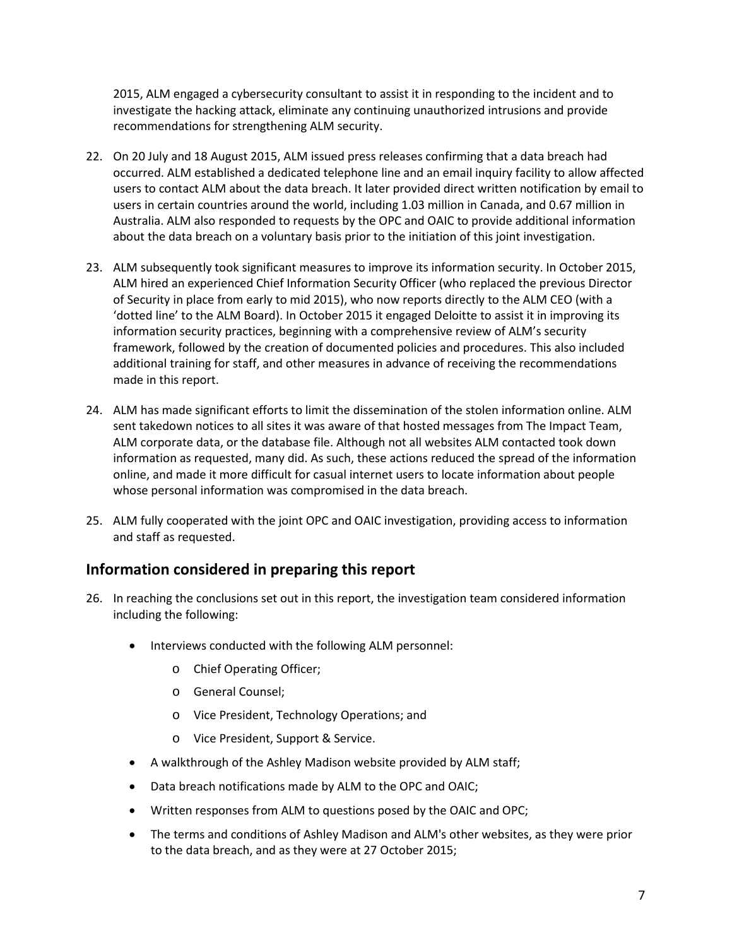2015, ALM engaged a cybersecurity consultant to assist it in responding to the incident and to investigate the hacking attack, eliminate any continuing unauthorized intrusions and provide recommendations for strengthening ALM security.

- 22. On 20 July and 18 August 2015, ALM issued press releases confirming that a data breach had occurred. ALM established a dedicated telephone line and an email inquiry facility to allow affected users to contact ALM about the data breach. It later provided direct written notification by email to users in certain countries around the world, including 1.03 million in Canada, and 0.67 million in Australia. ALM also responded to requests by the OPC and OAIC to provide additional information about the data breach on a voluntary basis prior to the initiation of this joint investigation.
- 23. ALM subsequently took significant measures to improve its information security. In October 2015, ALM hired an experienced Chief Information Security Officer (who replaced the previous Director of Security in place from early to mid 2015), who now reports directly to the ALM CEO (with a 'dotted line' to the ALM Board). In October 2015 it engaged Deloitte to assist it in improving its information security practices, beginning with a comprehensive review of ALM's security framework, followed by the creation of documented policies and procedures. This also included additional training for staff, and other measures in advance of receiving the recommendations made in this report.
- 24. ALM has made significant efforts to limit the dissemination of the stolen information online. ALM sent takedown notices to all sites it was aware of that hosted messages from The Impact Team, ALM corporate data, or the database file. Although not all websites ALM contacted took down information as requested, many did. As such, these actions reduced the spread of the information online, and made it more difficult for casual internet users to locate information about people whose personal information was compromised in the data breach.
- 25. ALM fully cooperated with the joint OPC and OAIC investigation, providing access to information and staff as requested.

## **Information considered in preparing this report**

- <span id="page-6-0"></span>26. In reaching the conclusions set out in this report, the investigation team considered information including the following:
	- Interviews conducted with the following ALM personnel:
		- o Chief Operating Officer;
		- o General Counsel;
		- o Vice President, Technology Operations; and
		- o Vice President, Support & Service.
	- A walkthrough of the Ashley Madison website provided by ALM staff;
	- Data breach notifications made by ALM to the OPC and OAIC;
	- Written responses from ALM to questions posed by the OAIC and OPC;
	- The terms and conditions of Ashley Madison and ALM's other websites, as they were prior to the data breach, and as they were at 27 October 2015;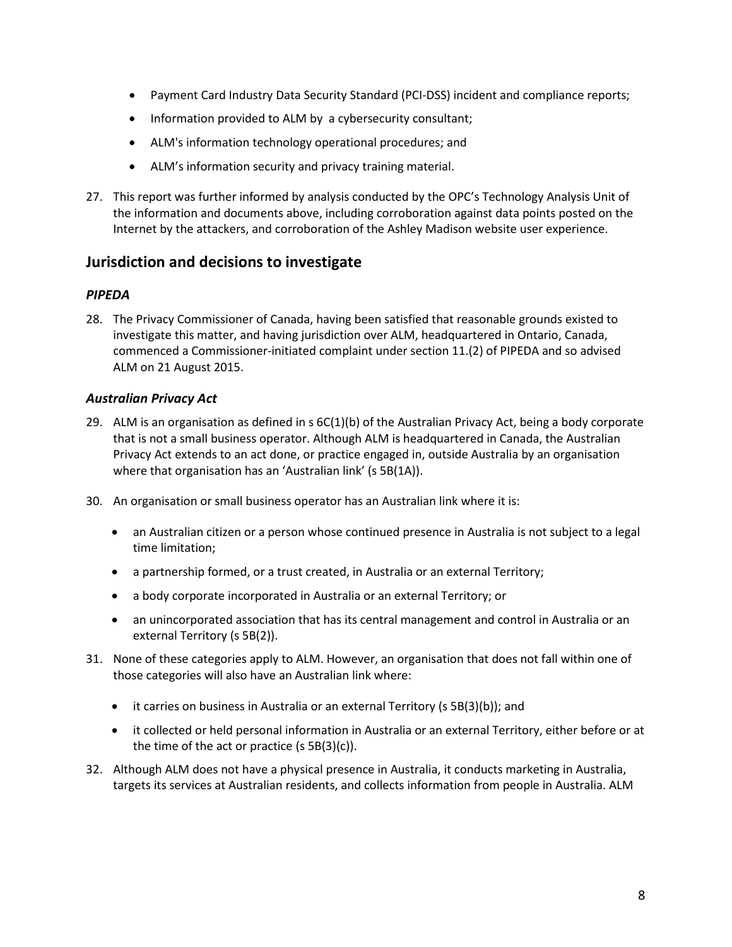- Payment Card Industry Data Security Standard (PCI-DSS) incident and compliance reports;
- Information provided to ALM by a cybersecurity consultant;
- ALM's information technology operational procedures; and
- ALM's information security and privacy training material.
- 27. This report was further informed by analysis conducted by the OPC's Technology Analysis Unit of the information and documents above, including corroboration against data points posted on the Internet by the attackers, and corroboration of the Ashley Madison website user experience.

## **Jurisdiction and decisions to investigate**

## *PIPEDA*

<span id="page-7-1"></span><span id="page-7-0"></span>28. The Privacy Commissioner of Canada, having been satisfied that reasonable grounds existed to investigate this matter, and having jurisdiction over ALM, headquartered in Ontario, Canada, commenced a Commissioner-initiated complaint under section 11.(2) of PIPEDA and so advised ALM on 21 August 2015.

### *Australian Privacy Act*

- <span id="page-7-2"></span>29. ALM is an organisation as defined in  $s$  6C(1)(b) of the Australian Privacy Act, being a body corporate that is not a small business operator. Although ALM is headquartered in Canada, the Australian Privacy Act extends to an act done, or practice engaged in, outside Australia by an organisation where that organisation has an 'Australian link' (s 5B(1A)).
- 30. An organisation or small business operator has an Australian link where it is:
	- an Australian citizen or a person whose continued presence in Australia is not subject to a legal time limitation;
	- a partnership formed, or a trust created, in Australia or an external Territory;
	- a body corporate incorporated in Australia or an external Territory; or
	- an unincorporated association that has its central management and control in Australia or an external Territory (s 5B(2)).
- 31. None of these categories apply to ALM. However, an organisation that does not fall within one of those categories will also have an Australian link where:
	- it carries on business in Australia or an external Territory (s 5B(3)(b)); and
	- it collected or held personal information in Australia or an external Territory, either before or at the time of the act or practice (s 5B(3)(c)).
- 32. Although ALM does not have a physical presence in Australia, it conducts marketing in Australia, targets its services at Australian residents, and collects information from people in Australia. ALM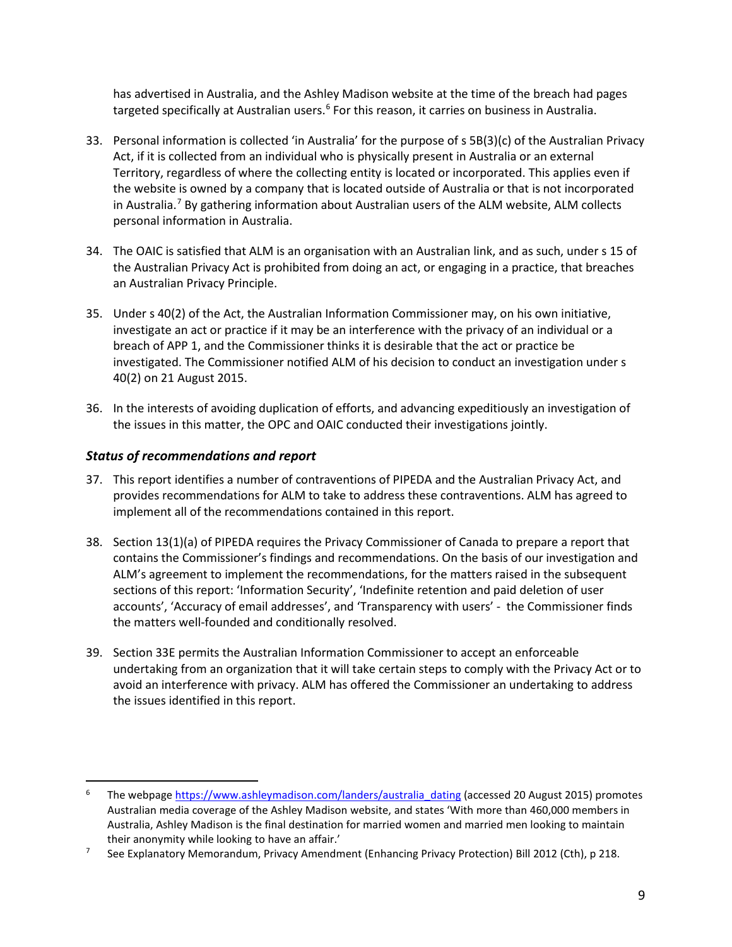has advertised in Australia, and the Ashley Madison website at the time of the breach had pages targeted specifically at Australian users.<sup>[6](#page-8-1)</sup> For this reason, it carries on business in Australia.

- 33. Personal information is collected 'in Australia' for the purpose of s 5B(3)(c) of the Australian Privacy Act, if it is collected from an individual who is physically present in Australia or an external Territory, regardless of where the collecting entity is located or incorporated. This applies even if the website is owned by a company that is located outside of Australia or that is not incorporated in Australia.<sup>[7](#page-8-2)</sup> By gathering information about Australian users of the ALM website, ALM collects personal information in Australia.
- 34. The OAIC is satisfied that ALM is an organisation with an Australian link, and as such, under s 15 of the Australian Privacy Act is prohibited from doing an act, or engaging in a practice, that breaches an Australian Privacy Principle.
- 35. Under s 40(2) of the Act, the Australian Information Commissioner may, on his own initiative, investigate an act or practice if it may be an interference with the privacy of an individual or a breach of APP 1, and the Commissioner thinks it is desirable that the act or practice be investigated. The Commissioner notified ALM of his decision to conduct an investigation under s 40(2) on 21 August 2015.
- 36. In the interests of avoiding duplication of efforts, and advancing expeditiously an investigation of the issues in this matter, the OPC and OAIC conducted their investigations jointly.

## *Status of recommendations and report*

- 37. This report identifies a number of contraventions of PIPEDA and the Australian Privacy Act, and provides recommendations for ALM to take to address these contraventions. ALM has agreed to implement all of the recommendations contained in this report.
- <span id="page-8-0"></span>38. Section 13(1)(a) of PIPEDA requires the Privacy Commissioner of Canada to prepare a report that contains the Commissioner's findings and recommendations. On the basis of our investigation and ALM's agreement to implement the recommendations, for the matters raised in the subsequent sections of this report: 'Information Security', 'Indefinite retention and paid deletion of user accounts', 'Accuracy of email addresses', and 'Transparency with users' - the Commissioner finds the matters well-founded and conditionally resolved.
- 39. Section 33E permits the Australian Information Commissioner to accept an enforceable undertaking from an organization that it will take certain steps to comply with the Privacy Act or to avoid an interference with privacy. ALM has offered the Commissioner an undertaking to address the issues identified in this report.

<span id="page-8-1"></span>The webpag[e https://www.ashleymadison.com/landers/australia\\_dating](https://www.ashleymadison.com/landers/australia_dating) (accessed 20 August 2015) promotes Australian media coverage of the Ashley Madison website, and states 'With more than 460,000 members in Australia, Ashley Madison is the final destination for married women and married men looking to maintain their anonymity while looking to have an affair.'

<span id="page-8-2"></span><sup>&</sup>lt;sup>7</sup> See Explanatory Memorandum, Privacy Amendment (Enhancing Privacy Protection) Bill 2012 (Cth), p 218.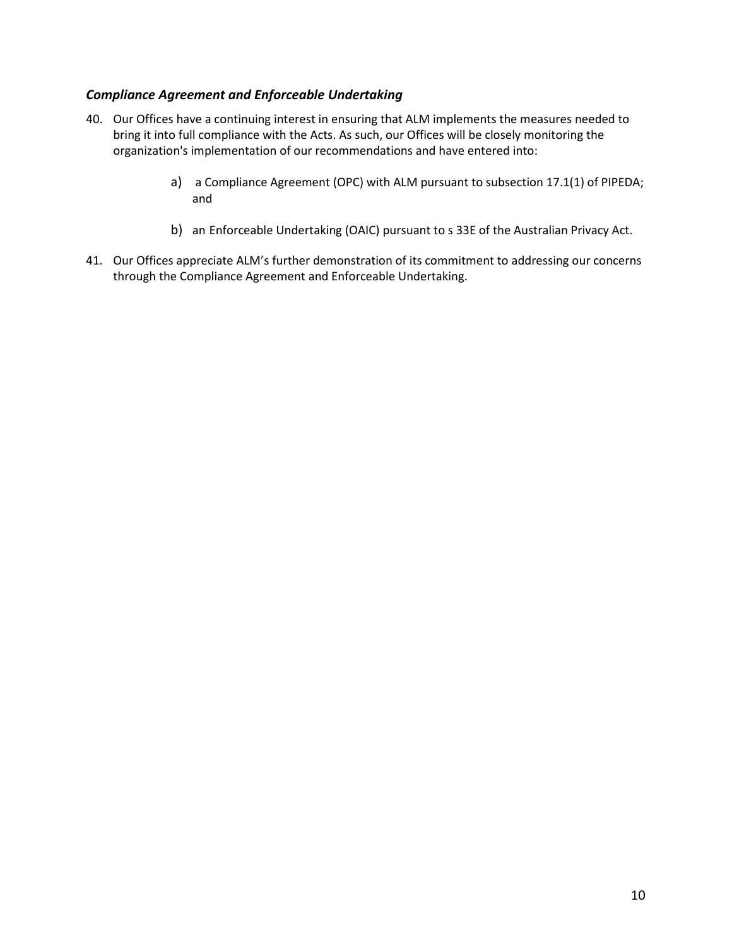## *Compliance Agreement and Enforceable Undertaking*

- <span id="page-9-0"></span>40. Our Offices have a continuing interest in ensuring that ALM implements the measures needed to bring it into full compliance with the Acts. As such, our Offices will be closely monitoring the organization's implementation of our recommendations and have entered into:
	- a) a Compliance Agreement (OPC) with ALM pursuant to subsection 17.1(1) of PIPEDA; and
	- b) an Enforceable Undertaking (OAIC) pursuant to s 33E of the Australian Privacy Act.
- 41. Our Offices appreciate ALM's further demonstration of its commitment to addressing our concerns through the Compliance Agreement and Enforceable Undertaking.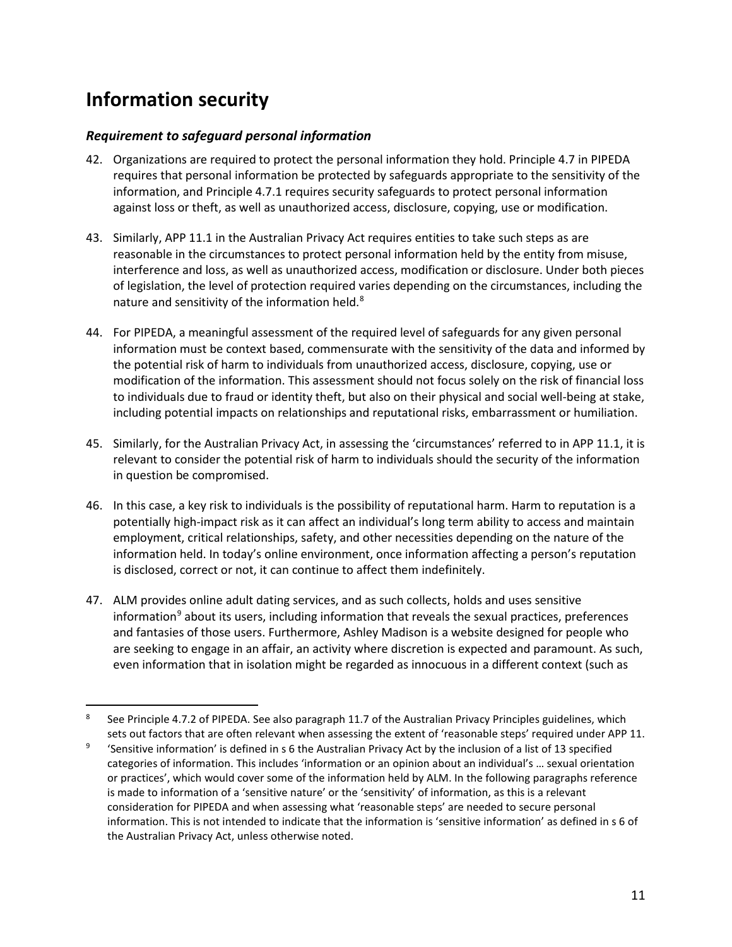# **Information security**

## *Requirement to safeguard personal information*

- <span id="page-10-1"></span><span id="page-10-0"></span>42. Organizations are required to protect the personal information they hold. Principle 4.7 in PIPEDA requires that personal information be protected by safeguards appropriate to the sensitivity of the information, and Principle 4.7.1 requires security safeguards to protect personal information against loss or theft, as well as unauthorized access, disclosure, copying, use or modification.
- 43. Similarly, APP 11.1 in the Australian Privacy Act requires entities to take such steps as are reasonable in the circumstances to protect personal information held by the entity from misuse, interference and loss, as well as unauthorized access, modification or disclosure. Under both pieces of legislation, the level of protection required varies depending on the circumstances, including the nature and sensitivity of the information held.<sup>[8](#page-10-2)</sup>
- 44. For PIPEDA, a meaningful assessment of the required level of safeguards for any given personal information must be context based, commensurate with the sensitivity of the data and informed by the potential risk of harm to individuals from unauthorized access, disclosure, copying, use or modification of the information. This assessment should not focus solely on the risk of financial loss to individuals due to fraud or identity theft, but also on their physical and social well-being at stake, including potential impacts on relationships and reputational risks, embarrassment or humiliation.
- 45. Similarly, for the Australian Privacy Act, in assessing the 'circumstances' referred to in APP 11.1, it is relevant to consider the potential risk of harm to individuals should the security of the information in question be compromised.
- 46. In this case, a key risk to individuals is the possibility of reputational harm. Harm to reputation is a potentially high-impact risk as it can affect an individual's long term ability to access and maintain employment, critical relationships, safety, and other necessities depending on the nature of the information held. In today's online environment, once information affecting a person's reputation is disclosed, correct or not, it can continue to affect them indefinitely.
- 47. ALM provides online adult dating services, and as such collects, holds and uses sensitive information $9$  about its users, including information that reveals the sexual practices, preferences and fantasies of those users. Furthermore, Ashley Madison is a website designed for people who are seeking to engage in an affair, an activity where discretion is expected and paramount. As such, even information that in isolation might be regarded as innocuous in a different context (such as

<span id="page-10-2"></span> <sup>8</sup> See Principle 4.7.2 of PIPEDA. See also paragraph 11.7 of the Australian Privacy Principles guidelines, which sets out factors that are often relevant when assessing the extent of 'reasonable steps' required under APP 11.

<span id="page-10-3"></span><sup>9</sup> 'Sensitive information' is defined in s 6 the Australian Privacy Act by the inclusion of a list of 13 specified categories of information. This includes 'information or an opinion about an individual's … sexual orientation or practices', which would cover some of the information held by ALM. In the following paragraphs reference is made to information of a 'sensitive nature' or the 'sensitivity' of information, as this is a relevant consideration for PIPEDA and when assessing what 'reasonable steps' are needed to secure personal information. This is not intended to indicate that the information is 'sensitive information' as defined in s 6 of the Australian Privacy Act, unless otherwise noted.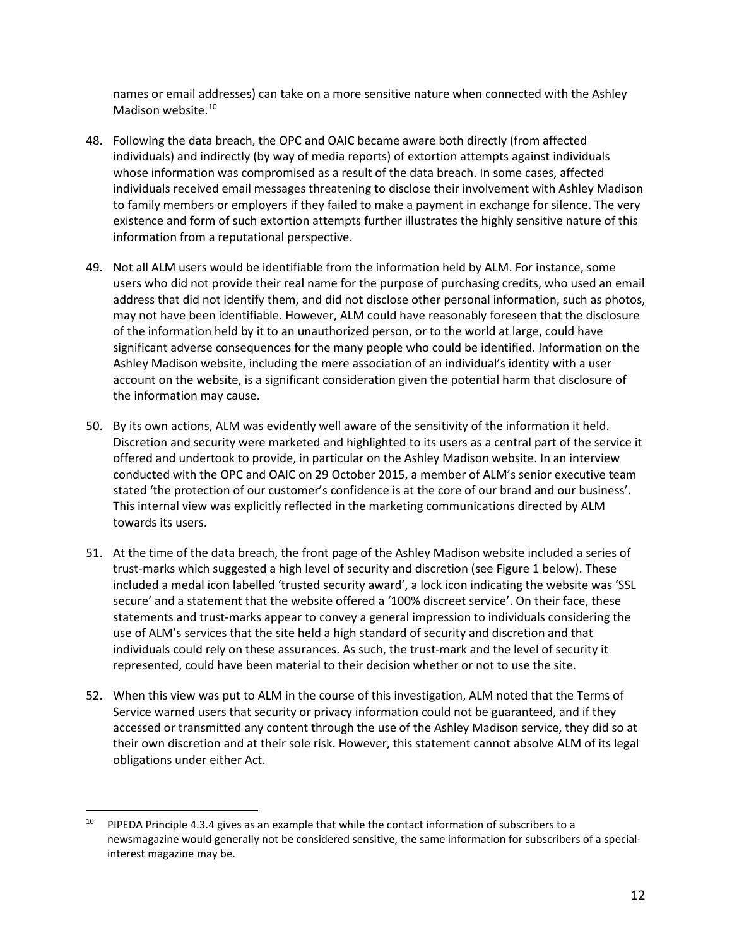names or email addresses) can take on a more sensitive nature when connected with the Ashley Madison website.<sup>10</sup>

- 48. Following the data breach, the OPC and OAIC became aware both directly (from affected individuals) and indirectly (by way of media reports) of extortion attempts against individuals whose information was compromised as a result of the data breach. In some cases, affected individuals received email messages threatening to disclose their involvement with Ashley Madison to family members or employers if they failed to make a payment in exchange for silence. The very existence and form of such extortion attempts further illustrates the highly sensitive nature of this information from a reputational perspective.
- 49. Not all ALM users would be identifiable from the information held by ALM. For instance, some users who did not provide their real name for the purpose of purchasing credits, who used an email address that did not identify them, and did not disclose other personal information, such as photos, may not have been identifiable. However, ALM could have reasonably foreseen that the disclosure of the information held by it to an unauthorized person, or to the world at large, could have significant adverse consequences for the many people who could be identified. Information on the Ashley Madison website, including the mere association of an individual's identity with a user account on the website, is a significant consideration given the potential harm that disclosure of the information may cause.
- 50. By its own actions, ALM was evidently well aware of the sensitivity of the information it held. Discretion and security were marketed and highlighted to its users as a central part of the service it offered and undertook to provide, in particular on the Ashley Madison website. In an interview conducted with the OPC and OAIC on 29 October 2015, a member of ALM's senior executive team stated 'the protection of our customer's confidence is at the core of our brand and our business'. This internal view was explicitly reflected in the marketing communications directed by ALM towards its users.
- 51. At the time of the data breach, the front page of the Ashley Madison website included a series of trust-marks which suggested a high level of security and discretion (see Figure 1 below). These included a medal icon labelled 'trusted security award', a lock icon indicating the website was 'SSL secure' and a statement that the website offered a '100% discreet service'. On their face, these statements and trust-marks appear to convey a general impression to individuals considering the use of ALM's services that the site held a high standard of security and discretion and that individuals could rely on these assurances. As such, the trust-mark and the level of security it represented, could have been material to their decision whether or not to use the site.
- 52. When this view was put to ALM in the course of this investigation, ALM noted that the Terms of Service warned users that security or privacy information could not be guaranteed, and if they accessed or transmitted any content through the use of the Ashley Madison service, they did so at their own discretion and at their sole risk. However, this statement cannot absolve ALM of its legal obligations under either Act.

<span id="page-11-0"></span><sup>&</sup>lt;sup>10</sup> PIPEDA Principle 4.3.4 gives as an example that while the contact information of subscribers to a newsmagazine would generally not be considered sensitive, the same information for subscribers of a specialinterest magazine may be.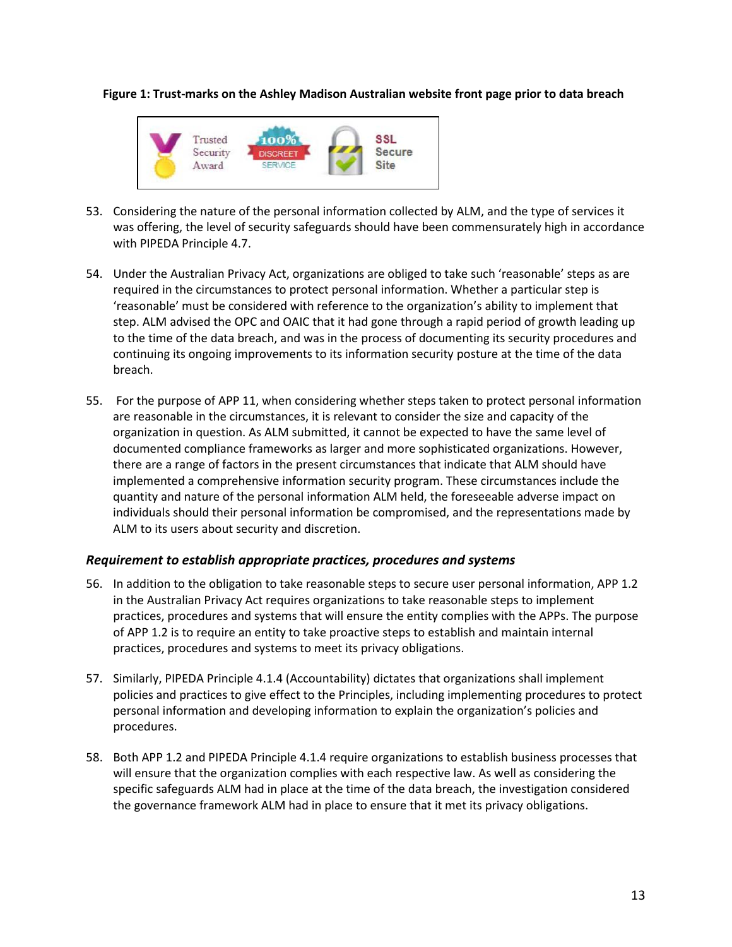**Figure 1: Trust-marks on the Ashley Madison Australian website front page prior to data breach**



- 53. Considering the nature of the personal information collected by ALM, and the type of services it was offering, the level of security safeguards should have been commensurately high in accordance with PIPEDA Principle 4.7.
- 54. Under the Australian Privacy Act, organizations are obliged to take such 'reasonable' steps as are required in the circumstances to protect personal information. Whether a particular step is 'reasonable' must be considered with reference to the organization's ability to implement that step. ALM advised the OPC and OAIC that it had gone through a rapid period of growth leading up to the time of the data breach, and was in the process of documenting its security procedures and continuing its ongoing improvements to its information security posture at the time of the data breach.
- 55. For the purpose of APP 11, when considering whether steps taken to protect personal information are reasonable in the circumstances, it is relevant to consider the size and capacity of the organization in question. As ALM submitted, it cannot be expected to have the same level of documented compliance frameworks as larger and more sophisticated organizations. However, there are a range of factors in the present circumstances that indicate that ALM should have implemented a comprehensive information security program. These circumstances include the quantity and nature of the personal information ALM held, the foreseeable adverse impact on individuals should their personal information be compromised, and the representations made by ALM to its users about security and discretion.

## *Requirement to establish appropriate practices, procedures and systems*

- <span id="page-12-0"></span>56. In addition to the obligation to take reasonable steps to secure user personal information, APP 1.2 in the Australian Privacy Act requires organizations to take reasonable steps to implement practices, procedures and systems that will ensure the entity complies with the APPs. The purpose of APP 1.2 is to require an entity to take proactive steps to establish and maintain internal practices, procedures and systems to meet its privacy obligations.
- 57. Similarly, PIPEDA Principle 4.1.4 (Accountability) dictates that organizations shall implement policies and practices to give effect to the Principles, including implementing procedures to protect personal information and developing information to explain the organization's policies and procedures.
- 58. Both APP 1.2 and PIPEDA Principle 4.1.4 require organizations to establish business processes that will ensure that the organization complies with each respective law. As well as considering the specific safeguards ALM had in place at the time of the data breach, the investigation considered the governance framework ALM had in place to ensure that it met its privacy obligations.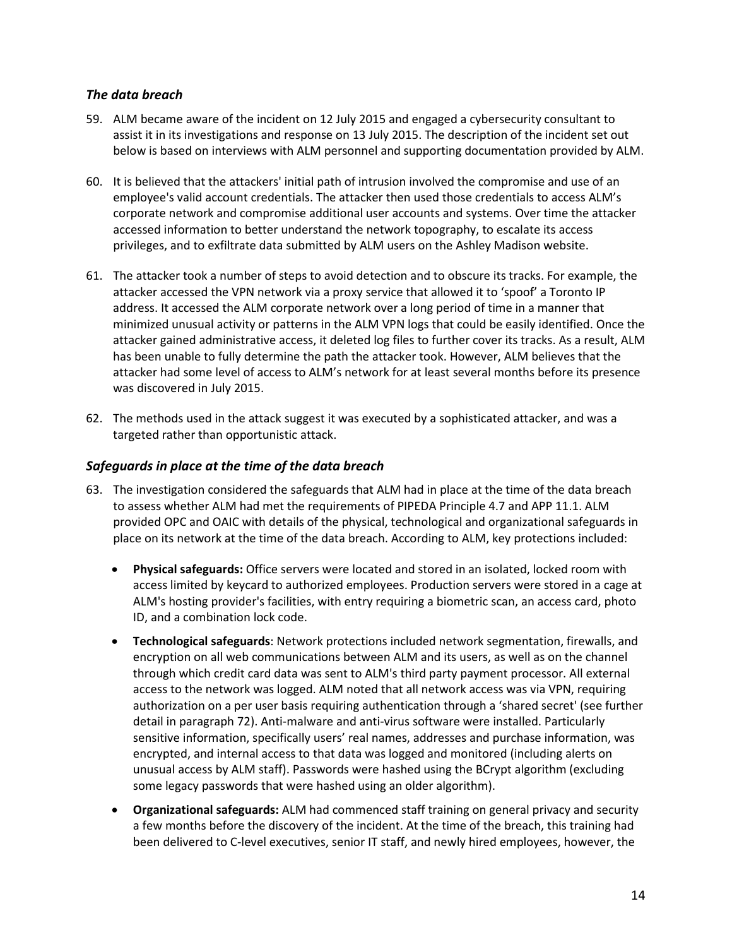## *The data breach*

- 59. ALM became aware of the incident on 12 July 2015 and engaged a cybersecurity consultant to assist it in its investigations and response on 13 July 2015. The description of the incident set out below is based on interviews with ALM personnel and supporting documentation provided by ALM.
- <span id="page-13-0"></span>60. It is believed that the attackers' initial path of intrusion involved the compromise and use of an employee's valid account credentials. The attacker then used those credentials to access ALM's corporate network and compromise additional user accounts and systems. Over time the attacker accessed information to better understand the network topography, to escalate its access privileges, and to exfiltrate data submitted by ALM users on the Ashley Madison website.
- 61. The attacker took a number of steps to avoid detection and to obscure its tracks. For example, the attacker accessed the VPN network via a proxy service that allowed it to 'spoof' a Toronto IP address. It accessed the ALM corporate network over a long period of time in a manner that minimized unusual activity or patterns in the ALM VPN logs that could be easily identified. Once the attacker gained administrative access, it deleted log files to further cover its tracks. As a result, ALM has been unable to fully determine the path the attacker took. However, ALM believes that the attacker had some level of access to ALM's network for at least several months before its presence was discovered in July 2015.
- 62. The methods used in the attack suggest it was executed by a sophisticated attacker, and was a targeted rather than opportunistic attack.

## *Safeguards in place at the time of the data breach*

- <span id="page-13-1"></span>63. The investigation considered the safeguards that ALM had in place at the time of the data breach to assess whether ALM had met the requirements of PIPEDA Principle 4.7 and APP 11.1. ALM provided OPC and OAIC with details of the physical, technological and organizational safeguards in place on its network at the time of the data breach. According to ALM, key protections included:
	- **Physical safeguards:** Office servers were located and stored in an isolated, locked room with access limited by keycard to authorized employees. Production servers were stored in a cage at ALM's hosting provider's facilities, with entry requiring a biometric scan, an access card, photo ID, and a combination lock code.
	- **Technological safeguards**: Network protections included network segmentation, firewalls, and encryption on all web communications between ALM and its users, as well as on the channel through which credit card data was sent to ALM's third party payment processor. All external access to the network was logged. ALM noted that all network access was via VPN, requiring authorization on a per user basis requiring authentication through a 'shared secret' (see further detail in paragraph 72). Anti-malware and anti-virus software were installed. Particularly sensitive information, specifically users' real names, addresses and purchase information, was encrypted, and internal access to that data was logged and monitored (including alerts on unusual access by ALM staff). Passwords were hashed using the BCrypt algorithm (excluding some legacy passwords that were hashed using an older algorithm).
	- **Organizational safeguards:** ALM had commenced staff training on general privacy and security a few months before the discovery of the incident. At the time of the breach, this training had been delivered to C-level executives, senior IT staff, and newly hired employees, however, the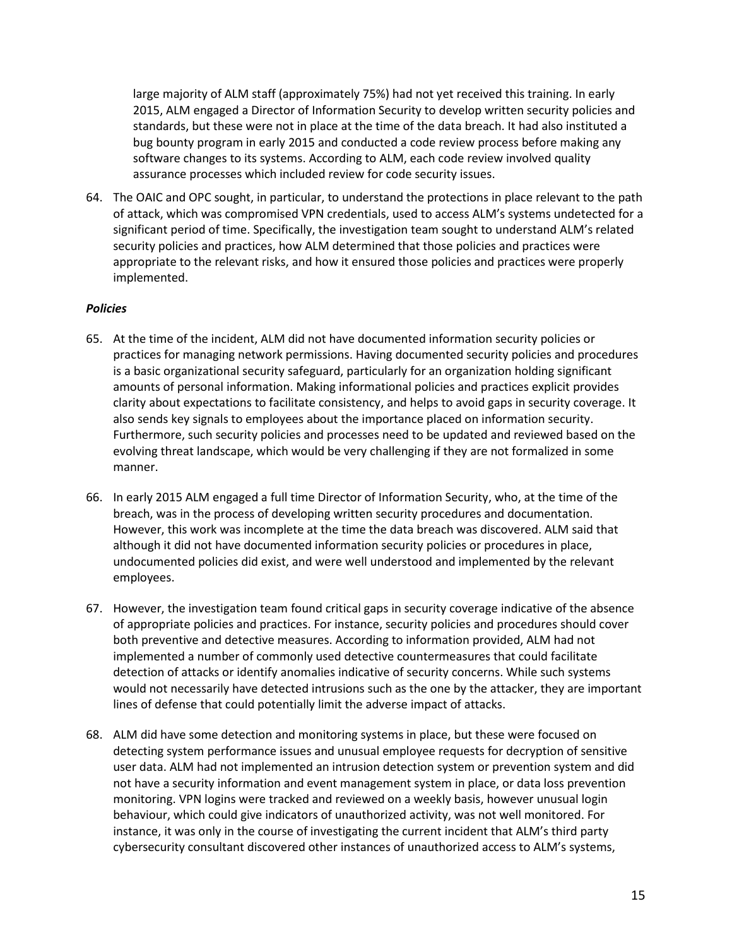large majority of ALM staff (approximately 75%) had not yet received this training. In early 2015, ALM engaged a Director of Information Security to develop written security policies and standards, but these were not in place at the time of the data breach. It had also instituted a bug bounty program in early 2015 and conducted a code review process before making any software changes to its systems. According to ALM, each code review involved quality assurance processes which included review for code security issues.

64. The OAIC and OPC sought, in particular, to understand the protections in place relevant to the path of attack, which was compromised VPN credentials, used to access ALM's systems undetected for a significant period of time. Specifically, the investigation team sought to understand ALM's related security policies and practices, how ALM determined that those policies and practices were appropriate to the relevant risks, and how it ensured those policies and practices were properly implemented.

#### *Policies*

- 65. At the time of the incident, ALM did not have documented information security policies or practices for managing network permissions. Having documented security policies and procedures is a basic organizational security safeguard, particularly for an organization holding significant amounts of personal information. Making informational policies and practices explicit provides clarity about expectations to facilitate consistency, and helps to avoid gaps in security coverage. It also sends key signals to employees about the importance placed on information security. Furthermore, such security policies and processes need to be updated and reviewed based on the evolving threat landscape, which would be very challenging if they are not formalized in some manner.
- 66. In early 2015 ALM engaged a full time Director of Information Security, who, at the time of the breach, was in the process of developing written security procedures and documentation. However, this work was incomplete at the time the data breach was discovered. ALM said that although it did not have documented information security policies or procedures in place, undocumented policies did exist, and were well understood and implemented by the relevant employees.
- 67. However, the investigation team found critical gaps in security coverage indicative of the absence of appropriate policies and practices. For instance, security policies and procedures should cover both preventive and detective measures. According to information provided, ALM had not implemented a number of commonly used detective countermeasures that could facilitate detection of attacks or identify anomalies indicative of security concerns. While such systems would not necessarily have detected intrusions such as the one by the attacker, they are important lines of defense that could potentially limit the adverse impact of attacks.
- 68. ALM did have some detection and monitoring systems in place, but these were focused on detecting system performance issues and unusual employee requests for decryption of sensitive user data. ALM had not implemented an intrusion detection system or prevention system and did not have a security information and event management system in place, or data loss prevention monitoring. VPN logins were tracked and reviewed on a weekly basis, however unusual login behaviour, which could give indicators of unauthorized activity, was not well monitored. For instance, it was only in the course of investigating the current incident that ALM's third party cybersecurity consultant discovered other instances of unauthorized access to ALM's systems,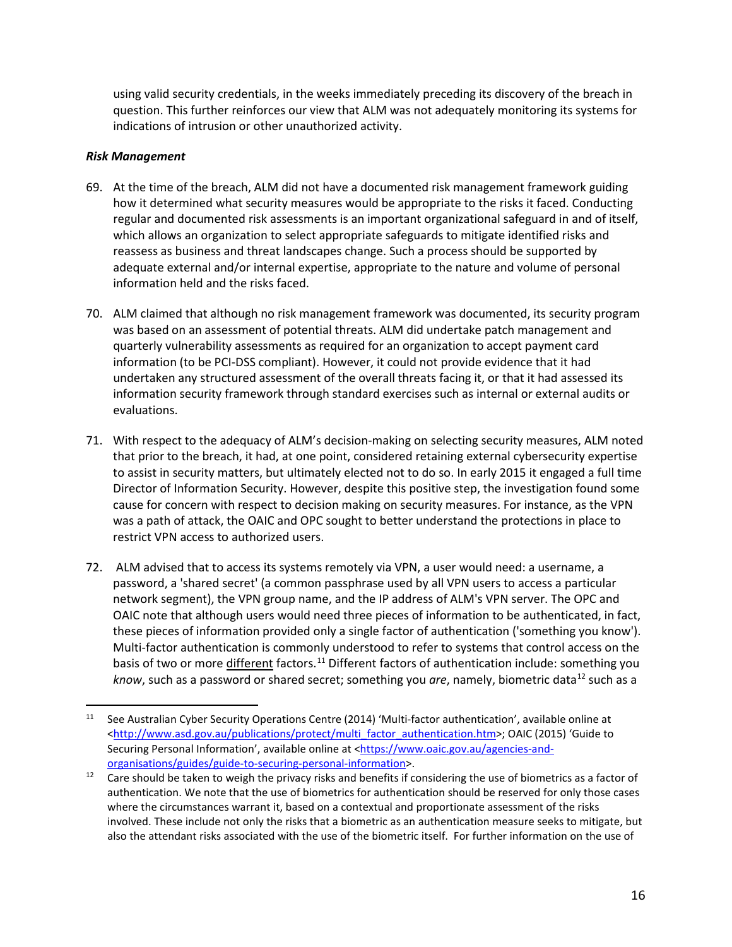using valid security credentials, in the weeks immediately preceding its discovery of the breach in question. This further reinforces our view that ALM was not adequately monitoring its systems for indications of intrusion or other unauthorized activity.

#### *Risk Management*

- 69. At the time of the breach, ALM did not have a documented risk management framework guiding how it determined what security measures would be appropriate to the risks it faced. Conducting regular and documented risk assessments is an important organizational safeguard in and of itself, which allows an organization to select appropriate safeguards to mitigate identified risks and reassess as business and threat landscapes change. Such a process should be supported by adequate external and/or internal expertise, appropriate to the nature and volume of personal information held and the risks faced.
- 70. ALM claimed that although no risk management framework was documented, its security program was based on an assessment of potential threats. ALM did undertake patch management and quarterly vulnerability assessments as required for an organization to accept payment card information (to be PCI-DSS compliant). However, it could not provide evidence that it had undertaken any structured assessment of the overall threats facing it, or that it had assessed its information security framework through standard exercises such as internal or external audits or evaluations.
- 71. With respect to the adequacy of ALM's decision-making on selecting security measures, ALM noted that prior to the breach, it had, at one point, considered retaining external cybersecurity expertise to assist in security matters, but ultimately elected not to do so. In early 2015 it engaged a full time Director of Information Security. However, despite this positive step, the investigation found some cause for concern with respect to decision making on security measures. For instance, as the VPN was a path of attack, the OAIC and OPC sought to better understand the protections in place to restrict VPN access to authorized users.
- 72. ALM advised that to access its systems remotely via VPN, a user would need: a username, a password, a 'shared secret' (a common passphrase used by all VPN users to access a particular network segment), the VPN group name, and the IP address of ALM's VPN server. The OPC and OAIC note that although users would need three pieces of information to be authenticated, in fact, these pieces of information provided only a single factor of authentication ('something you know'). Multi-factor authentication is commonly understood to refer to systems that control access on the basis of two or more different factors.<sup>[11](#page-15-0)</sup> Different factors of authentication include: something you *know*, such as a password or shared secret; something you are, namely, biometric data<sup>[12](#page-15-1)</sup> such as a

<span id="page-15-0"></span><sup>&</sup>lt;sup>11</sup> See Australian Cyber Security Operations Centre (2014) 'Multi-factor authentication', available online at [<http://www.asd.gov.au/publications/protect/multi\\_factor\\_authentication.htm>](http://www.asd.gov.au/publications/protect/multi_factor_authentication.htm); OAIC (2015) 'Guide to Securing Personal Information', available online at [<https://www.oaic.gov.au/agencies-and](https://www.oaic.gov.au/agencies-and-organisations/guides/guide-to-securing-personal-information)[organisations/guides/guide-to-securing-personal-information>](https://www.oaic.gov.au/agencies-and-organisations/guides/guide-to-securing-personal-information).

<span id="page-15-1"></span>Care should be taken to weigh the privacy risks and benefits if considering the use of biometrics as a factor of authentication. We note that the use of biometrics for authentication should be reserved for only those cases where the circumstances warrant it, based on a contextual and proportionate assessment of the risks involved. These include not only the risks that a biometric as an authentication measure seeks to mitigate, but also the attendant risks associated with the use of the biometric itself. For further information on the use of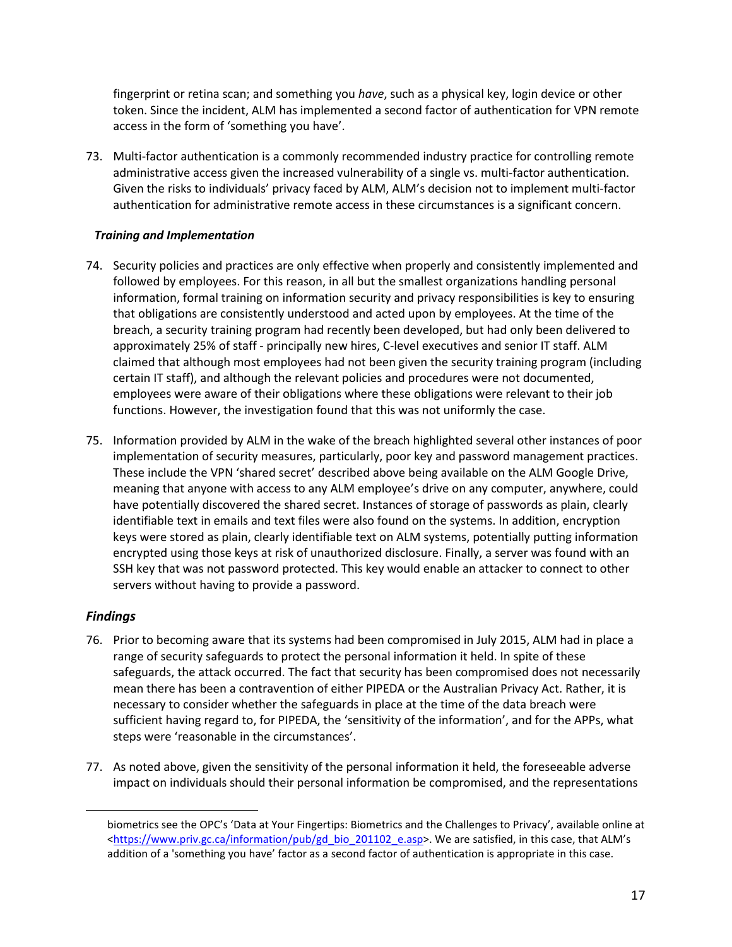fingerprint or retina scan; and something you *have*, such as a physical key, login device or other token. Since the incident, ALM has implemented a second factor of authentication for VPN remote access in the form of 'something you have'.

73. Multi-factor authentication is a commonly recommended industry practice for controlling remote administrative access given the increased vulnerability of a single vs. multi-factor authentication. Given the risks to individuals' privacy faced by ALM, ALM's decision not to implement multi-factor authentication for administrative remote access in these circumstances is a significant concern.

### *Training and Implementation*

- 74. Security policies and practices are only effective when properly and consistently implemented and followed by employees. For this reason, in all but the smallest organizations handling personal information, formal training on information security and privacy responsibilities is key to ensuring that obligations are consistently understood and acted upon by employees. At the time of the breach, a security training program had recently been developed, but had only been delivered to approximately 25% of staff - principally new hires, C-level executives and senior IT staff. ALM claimed that although most employees had not been given the security training program (including certain IT staff), and although the relevant policies and procedures were not documented, employees were aware of their obligations where these obligations were relevant to their job functions. However, the investigation found that this was not uniformly the case.
- 75. Information provided by ALM in the wake of the breach highlighted several other instances of poor implementation of security measures, particularly, poor key and password management practices. These include the VPN 'shared secret' described above being available on the ALM Google Drive, meaning that anyone with access to any ALM employee's drive on any computer, anywhere, could have potentially discovered the shared secret. Instances of storage of passwords as plain, clearly identifiable text in emails and text files were also found on the systems. In addition, encryption keys were stored as plain, clearly identifiable text on ALM systems, potentially putting information encrypted using those keys at risk of unauthorized disclosure. Finally, a server was found with an SSH key that was not password protected. This key would enable an attacker to connect to other servers without having to provide a password.

## *Findings*

 $\overline{a}$ 

- <span id="page-16-0"></span>76. Prior to becoming aware that its systems had been compromised in July 2015, ALM had in place a range of security safeguards to protect the personal information it held. In spite of these safeguards, the attack occurred. The fact that security has been compromised does not necessarily mean there has been a contravention of either PIPEDA or the Australian Privacy Act. Rather, it is necessary to consider whether the safeguards in place at the time of the data breach were sufficient having regard to, for PIPEDA, the 'sensitivity of the information', and for the APPs, what steps were 'reasonable in the circumstances'.
- 77. As noted above, given the sensitivity of the personal information it held, the foreseeable adverse impact on individuals should their personal information be compromised, and the representations

biometrics see the OPC's 'Data at Your Fingertips: Biometrics and the Challenges to Privacy', available online at [<https://www.priv.gc.ca/information/pub/gd\\_bio\\_201102\\_e.asp>](https://www.priv.gc.ca/information/pub/gd_bio_201102_e.asp). We are satisfied, in this case, that ALM's addition of a 'something you have' factor as a second factor of authentication is appropriate in this case.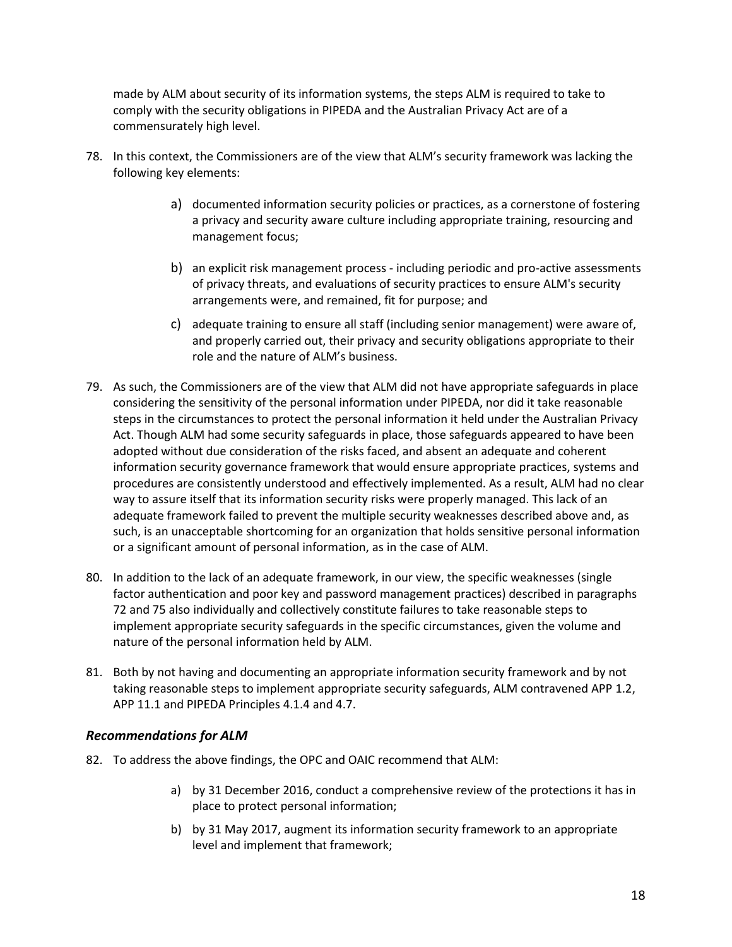made by ALM about security of its information systems, the steps ALM is required to take to comply with the security obligations in PIPEDA and the Australian Privacy Act are of a commensurately high level.

- 78. In this context, the Commissioners are of the view that ALM's security framework was lacking the following key elements:
	- a) documented information security policies or practices, as a cornerstone of fostering a privacy and security aware culture including appropriate training, resourcing and management focus;
	- b) an explicit risk management process including periodic and pro-active assessments of privacy threats, and evaluations of security practices to ensure ALM's security arrangements were, and remained, fit for purpose; and
	- c) adequate training to ensure all staff (including senior management) were aware of, and properly carried out, their privacy and security obligations appropriate to their role and the nature of ALM's business.
- 79. As such, the Commissioners are of the view that ALM did not have appropriate safeguards in place considering the sensitivity of the personal information under PIPEDA, nor did it take reasonable steps in the circumstances to protect the personal information it held under the Australian Privacy Act. Though ALM had some security safeguards in place, those safeguards appeared to have been adopted without due consideration of the risks faced, and absent an adequate and coherent information security governance framework that would ensure appropriate practices, systems and procedures are consistently understood and effectively implemented. As a result, ALM had no clear way to assure itself that its information security risks were properly managed. This lack of an adequate framework failed to prevent the multiple security weaknesses described above and, as such, is an unacceptable shortcoming for an organization that holds sensitive personal information or a significant amount of personal information, as in the case of ALM.
- 80. In addition to the lack of an adequate framework, in our view, the specific weaknesses (single factor authentication and poor key and password management practices) described in paragraphs 72 and 75 also individually and collectively constitute failures to take reasonable steps to implement appropriate security safeguards in the specific circumstances, given the volume and nature of the personal information held by ALM.
- 81. Both by not having and documenting an appropriate information security framework and by not taking reasonable steps to implement appropriate security safeguards, ALM contravened APP 1.2, APP 11.1 and PIPEDA Principles 4.1.4 and 4.7.

## *Recommendations for ALM*

- <span id="page-17-0"></span>82. To address the above findings, the OPC and OAIC recommend that ALM:
	- a) by 31 December 2016, conduct a comprehensive review of the protections it has in place to protect personal information;
	- b) by 31 May 2017, augment its information security framework to an appropriate level and implement that framework;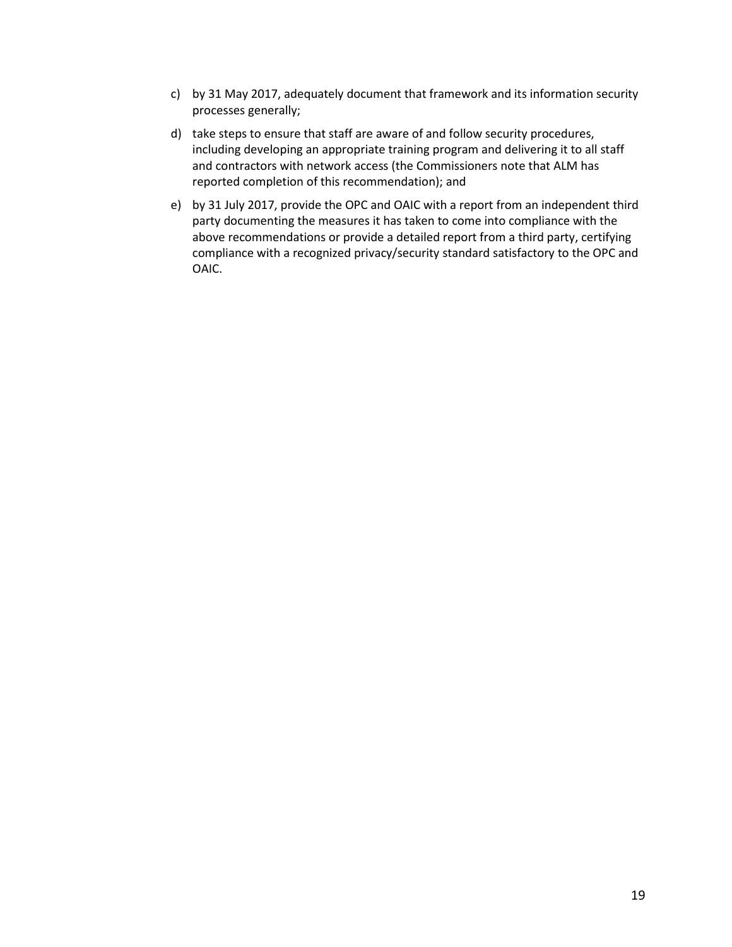- c) by 31 May 2017, adequately document that framework and its information security processes generally;
- d) take steps to ensure that staff are aware of and follow security procedures, including developing an appropriate training program and delivering it to all staff and contractors with network access (the Commissioners note that ALM has reported completion of this recommendation); and
- e) by 31 July 2017, provide the OPC and OAIC with a report from an independent third party documenting the measures it has taken to come into compliance with the above recommendations or provide a detailed report from a third party, certifying compliance with a recognized privacy/security standard satisfactory to the OPC and OAIC.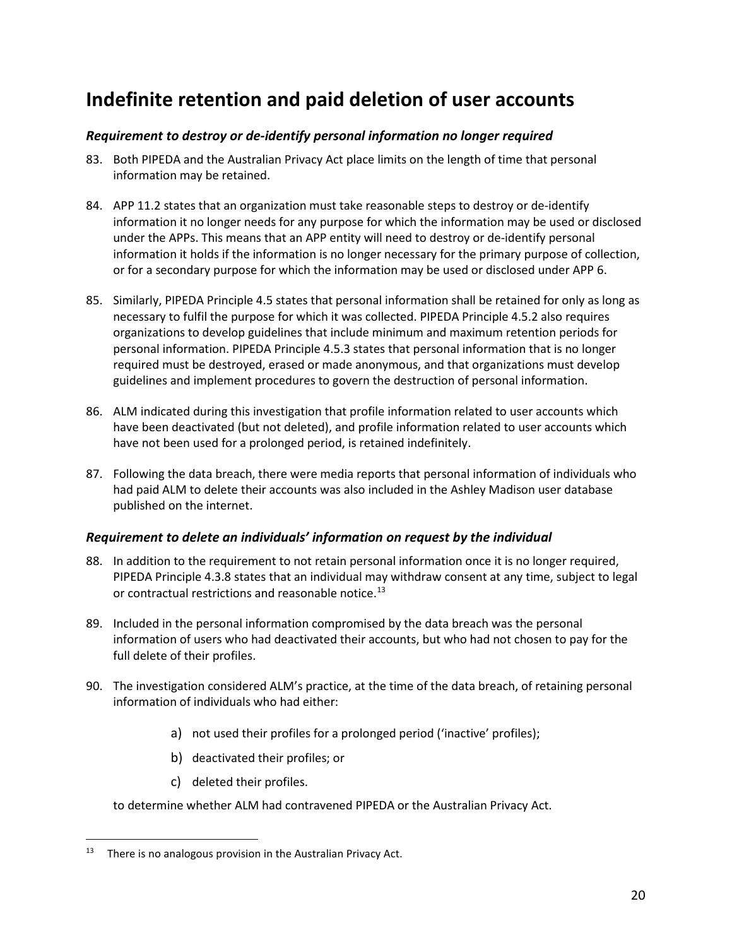# **Indefinite retention and paid deletion of user accounts**

## *Requirement to destroy or de-identify personal information no longer required*

- <span id="page-19-0"></span>83. Both PIPEDA and the Australian Privacy Act place limits on the length of time that personal information may be retained.
- <span id="page-19-1"></span>84. APP 11.2 states that an organization must take reasonable steps to destroy or de-identify information it no longer needs for any purpose for which the information may be used or disclosed under the APPs. This means that an APP entity will need to destroy or de-identify personal information it holds if the information is no longer necessary for the primary purpose of collection, or for a secondary purpose for which the information may be used or disclosed under APP 6.
- 85. Similarly, PIPEDA Principle 4.5 states that personal information shall be retained for only as long as necessary to fulfil the purpose for which it was collected. PIPEDA Principle 4.5.2 also requires organizations to develop guidelines that include minimum and maximum retention periods for personal information. PIPEDA Principle 4.5.3 states that personal information that is no longer required must be destroyed, erased or made anonymous, and that organizations must develop guidelines and implement procedures to govern the destruction of personal information.
- 86. ALM indicated during this investigation that profile information related to user accounts which have been deactivated (but not deleted), and profile information related to user accounts which have not been used for a prolonged period, is retained indefinitely.
- 87. Following the data breach, there were media reports that personal information of individuals who had paid ALM to delete their accounts was also included in the Ashley Madison user database published on the internet.

## *Requirement to delete an individuals' information on request by the individual*

- 88. In addition to the requirement to not retain personal information once it is no longer required, PIPEDA Principle 4.3.8 states that an individual may withdraw consent at any time, subject to legal or contractual restrictions and reasonable notice.<sup>[13](#page-19-3)</sup>
- <span id="page-19-2"></span>89. Included in the personal information compromised by the data breach was the personal information of users who had deactivated their accounts, but who had not chosen to pay for the full delete of their profiles.
- 90. The investigation considered ALM's practice, at the time of the data breach, of retaining personal information of individuals who had either:
	- a) not used their profiles for a prolonged period ('inactive' profiles);
	- b) deactivated their profiles; or
	- c) deleted their profiles.

to determine whether ALM had contravened PIPEDA or the Australian Privacy Act.

<span id="page-19-3"></span> $13$  There is no analogous provision in the Australian Privacy Act.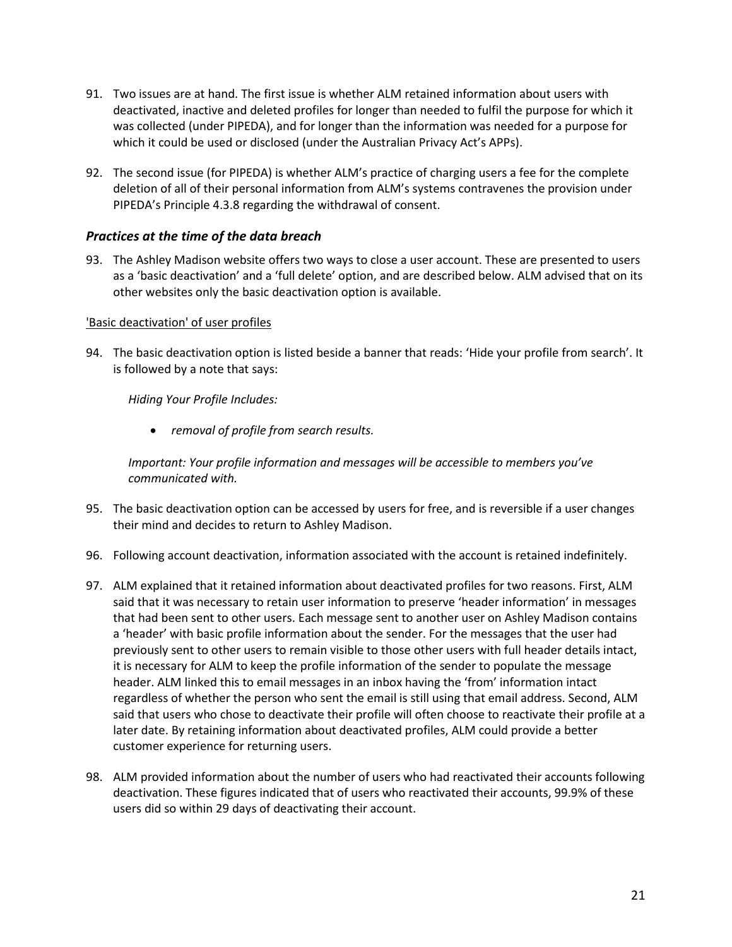- 91. Two issues are at hand. The first issue is whether ALM retained information about users with deactivated, inactive and deleted profiles for longer than needed to fulfil the purpose for which it was collected (under PIPEDA), and for longer than the information was needed for a purpose for which it could be used or disclosed (under the Australian Privacy Act's APPs).
- 92. The second issue (for PIPEDA) is whether ALM's practice of charging users a fee for the complete deletion of all of their personal information from ALM's systems contravenes the provision under PIPEDA's Principle 4.3.8 regarding the withdrawal of consent.

#### *Practices at the time of the data breach*

93. The Ashley Madison website offers two ways to close a user account. These are presented to users as a 'basic deactivation' and a 'full delete' option, and are described below. ALM advised that on its other websites only the basic deactivation option is available.

#### <span id="page-20-0"></span>'Basic deactivation' of user profiles

94. The basic deactivation option is listed beside a banner that reads: 'Hide your profile from search'. It is followed by a note that says:

*Hiding Your Profile Includes:*

• *removal of profile from search results.*

*Important: Your profile information and messages will be accessible to members you've communicated with.*

- 95. The basic deactivation option can be accessed by users for free, and is reversible if a user changes their mind and decides to return to Ashley Madison.
- 96. Following account deactivation, information associated with the account is retained indefinitely.
- 97. ALM explained that it retained information about deactivated profiles for two reasons. First, ALM said that it was necessary to retain user information to preserve 'header information' in messages that had been sent to other users. Each message sent to another user on Ashley Madison contains a 'header' with basic profile information about the sender. For the messages that the user had previously sent to other users to remain visible to those other users with full header details intact, it is necessary for ALM to keep the profile information of the sender to populate the message header. ALM linked this to email messages in an inbox having the 'from' information intact regardless of whether the person who sent the email is still using that email address. Second, ALM said that users who chose to deactivate their profile will often choose to reactivate their profile at a later date. By retaining information about deactivated profiles, ALM could provide a better customer experience for returning users.
- 98. ALM provided information about the number of users who had reactivated their accounts following deactivation. These figures indicated that of users who reactivated their accounts, 99.9% of these users did so within 29 days of deactivating their account.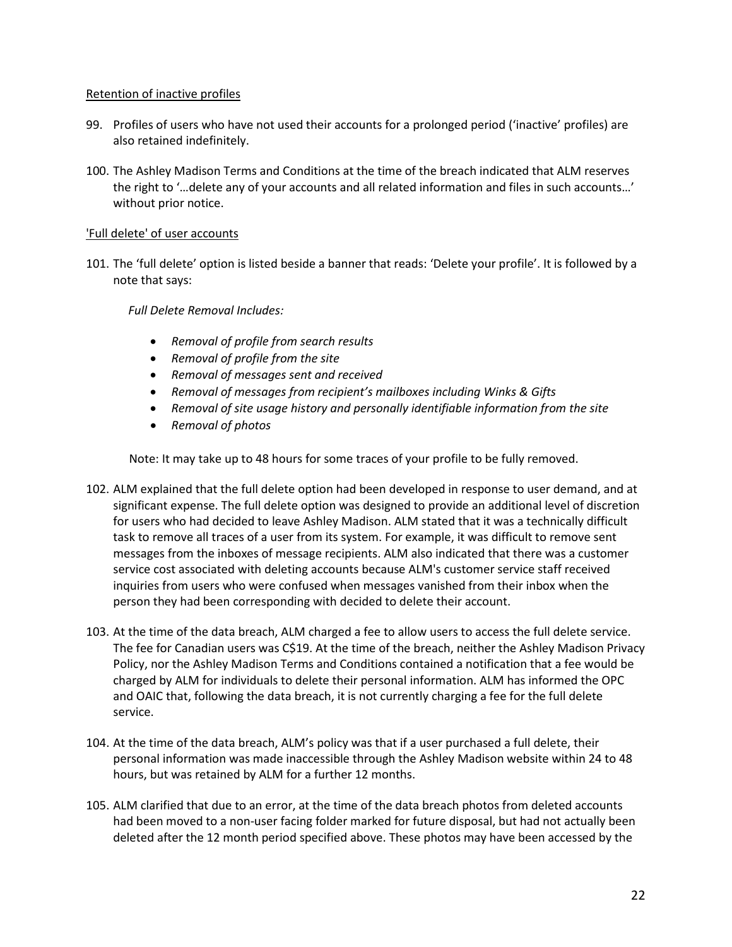#### Retention of inactive profiles

- 99. Profiles of users who have not used their accounts for a prolonged period ('inactive' profiles) are also retained indefinitely.
- 100. The Ashley Madison Terms and Conditions at the time of the breach indicated that ALM reserves the right to '…delete any of your accounts and all related information and files in such accounts…' without prior notice.

## 'Full delete' of user accounts

101. The 'full delete' option is listed beside a banner that reads: 'Delete your profile'. It is followed by a note that says:

*Full Delete Removal Includes:*

- *Removal of profile from search results*
- *Removal of profile from the site*
- *Removal of messages sent and received*
- *Removal of messages from recipient's mailboxes including Winks & Gifts*
- *Removal of site usage history and personally identifiable information from the site*
- *Removal of photos*

Note: It may take up to 48 hours for some traces of your profile to be fully removed.

- 102. ALM explained that the full delete option had been developed in response to user demand, and at significant expense. The full delete option was designed to provide an additional level of discretion for users who had decided to leave Ashley Madison. ALM stated that it was a technically difficult task to remove all traces of a user from its system. For example, it was difficult to remove sent messages from the inboxes of message recipients. ALM also indicated that there was a customer service cost associated with deleting accounts because ALM's customer service staff received inquiries from users who were confused when messages vanished from their inbox when the person they had been corresponding with decided to delete their account.
- 103. At the time of the data breach, ALM charged a fee to allow users to access the full delete service. The fee for Canadian users was C\$19. At the time of the breach, neither the Ashley Madison Privacy Policy, nor the Ashley Madison Terms and Conditions contained a notification that a fee would be charged by ALM for individuals to delete their personal information. ALM has informed the OPC and OAIC that, following the data breach, it is not currently charging a fee for the full delete service.
- 104. At the time of the data breach, ALM's policy was that if a user purchased a full delete, their personal information was made inaccessible through the Ashley Madison website within 24 to 48 hours, but was retained by ALM for a further 12 months.
- 105. ALM clarified that due to an error, at the time of the data breach photos from deleted accounts had been moved to a non-user facing folder marked for future disposal, but had not actually been deleted after the 12 month period specified above. These photos may have been accessed by the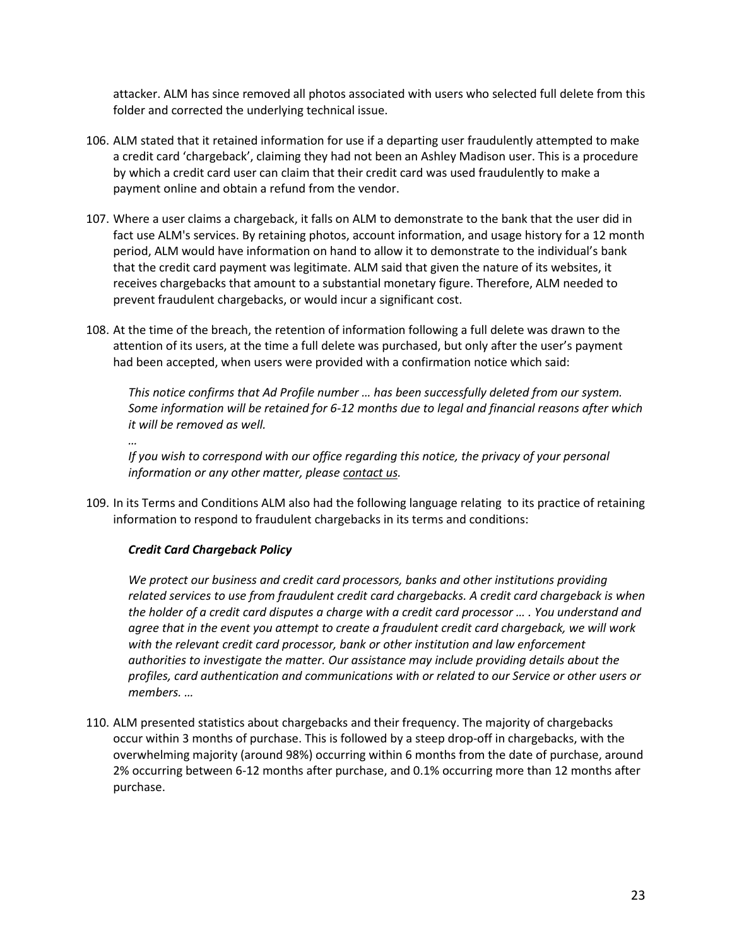attacker. ALM has since removed all photos associated with users who selected full delete from this folder and corrected the underlying technical issue.

- 106. ALM stated that it retained information for use if a departing user fraudulently attempted to make a credit card 'chargeback', claiming they had not been an Ashley Madison user. This is a procedure by which a credit card user can claim that their credit card was used fraudulently to make a payment online and obtain a refund from the vendor.
- 107. Where a user claims a chargeback, it falls on ALM to demonstrate to the bank that the user did in fact use ALM's services. By retaining photos, account information, and usage history for a 12 month period, ALM would have information on hand to allow it to demonstrate to the individual's bank that the credit card payment was legitimate. ALM said that given the nature of its websites, it receives chargebacks that amount to a substantial monetary figure. Therefore, ALM needed to prevent fraudulent chargebacks, or would incur a significant cost.
- 108. At the time of the breach, the retention of information following a full delete was drawn to the attention of its users, at the time a full delete was purchased, but only after the user's payment had been accepted, when users were provided with a confirmation notice which said:

*This notice confirms that Ad Profile number … has been successfully deleted from our system. Some information will be retained for 6-12 months due to legal and financial reasons after which it will be removed as well.*

*…*

*If you wish to correspond with our office regarding this notice, the privacy of your personal information or any other matter, please contact us.*

109. In its Terms and Conditions ALM also had the following language relating to its practice of retaining information to respond to fraudulent chargebacks in its terms and conditions:

## *Credit Card Chargeback Policy*

*We protect our business and credit card processors, banks and other institutions providing related services to use from fraudulent credit card chargebacks. A credit card chargeback is when the holder of a credit card disputes a charge with a credit card processor … . You understand and agree that in the event you attempt to create a fraudulent credit card chargeback, we will work with the relevant credit card processor, bank or other institution and law enforcement authorities to investigate the matter. Our assistance may include providing details about the profiles, card authentication and communications with or related to our Service or other users or members. …*

110. ALM presented statistics about chargebacks and their frequency. The majority of chargebacks occur within 3 months of purchase. This is followed by a steep drop-off in chargebacks, with the overwhelming majority (around 98%) occurring within 6 months from the date of purchase, around 2% occurring between 6-12 months after purchase, and 0.1% occurring more than 12 months after purchase.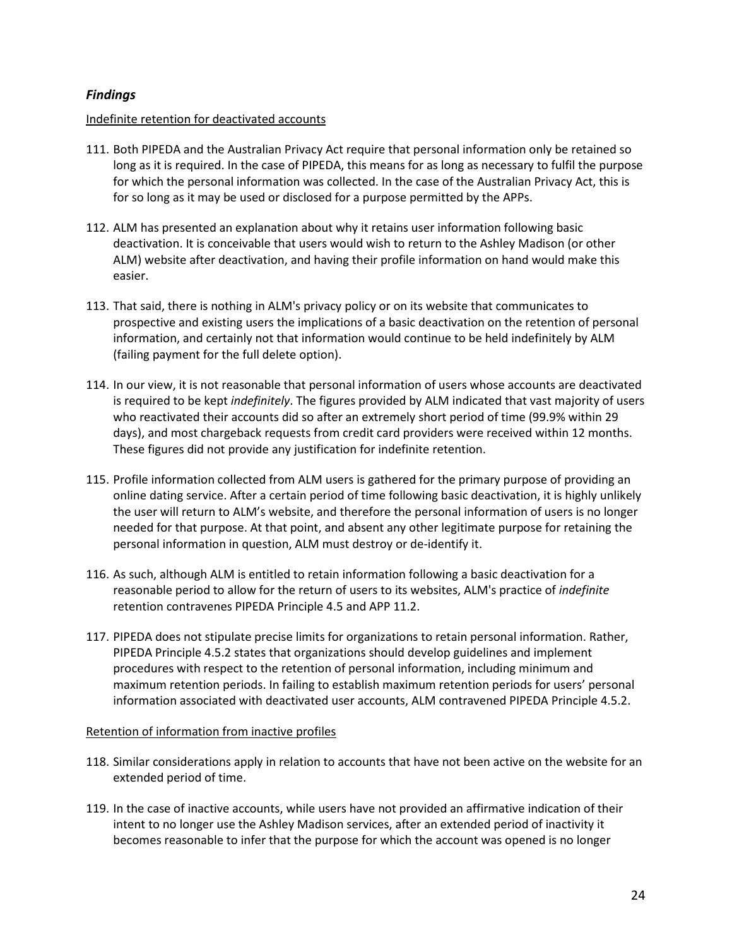## *Findings*

#### Indefinite retention for deactivated accounts

- <span id="page-23-0"></span>111. Both PIPEDA and the Australian Privacy Act require that personal information only be retained so long as it is required. In the case of PIPEDA, this means for as long as necessary to fulfil the purpose for which the personal information was collected. In the case of the Australian Privacy Act, this is for so long as it may be used or disclosed for a purpose permitted by the APPs.
- 112. ALM has presented an explanation about why it retains user information following basic deactivation. It is conceivable that users would wish to return to the Ashley Madison (or other ALM) website after deactivation, and having their profile information on hand would make this easier.
- 113. That said, there is nothing in ALM's privacy policy or on its website that communicates to prospective and existing users the implications of a basic deactivation on the retention of personal information, and certainly not that information would continue to be held indefinitely by ALM (failing payment for the full delete option).
- 114. In our view, it is not reasonable that personal information of users whose accounts are deactivated is required to be kept *indefinitely*. The figures provided by ALM indicated that vast majority of users who reactivated their accounts did so after an extremely short period of time (99.9% within 29 days), and most chargeback requests from credit card providers were received within 12 months. These figures did not provide any justification for indefinite retention.
- 115. Profile information collected from ALM users is gathered for the primary purpose of providing an online dating service. After a certain period of time following basic deactivation, it is highly unlikely the user will return to ALM's website, and therefore the personal information of users is no longer needed for that purpose. At that point, and absent any other legitimate purpose for retaining the personal information in question, ALM must destroy or de-identify it.
- 116. As such, although ALM is entitled to retain information following a basic deactivation for a reasonable period to allow for the return of users to its websites, ALM's practice of *indefinite* retention contravenes PIPEDA Principle 4.5 and APP 11.2.
- 117. PIPEDA does not stipulate precise limits for organizations to retain personal information. Rather, PIPEDA Principle 4.5.2 states that organizations should develop guidelines and implement procedures with respect to the retention of personal information, including minimum and maximum retention periods. In failing to establish maximum retention periods for users' personal information associated with deactivated user accounts, ALM contravened PIPEDA Principle 4.5.2.

#### Retention of information from inactive profiles

- 118. Similar considerations apply in relation to accounts that have not been active on the website for an extended period of time.
- 119. In the case of inactive accounts, while users have not provided an affirmative indication of their intent to no longer use the Ashley Madison services, after an extended period of inactivity it becomes reasonable to infer that the purpose for which the account was opened is no longer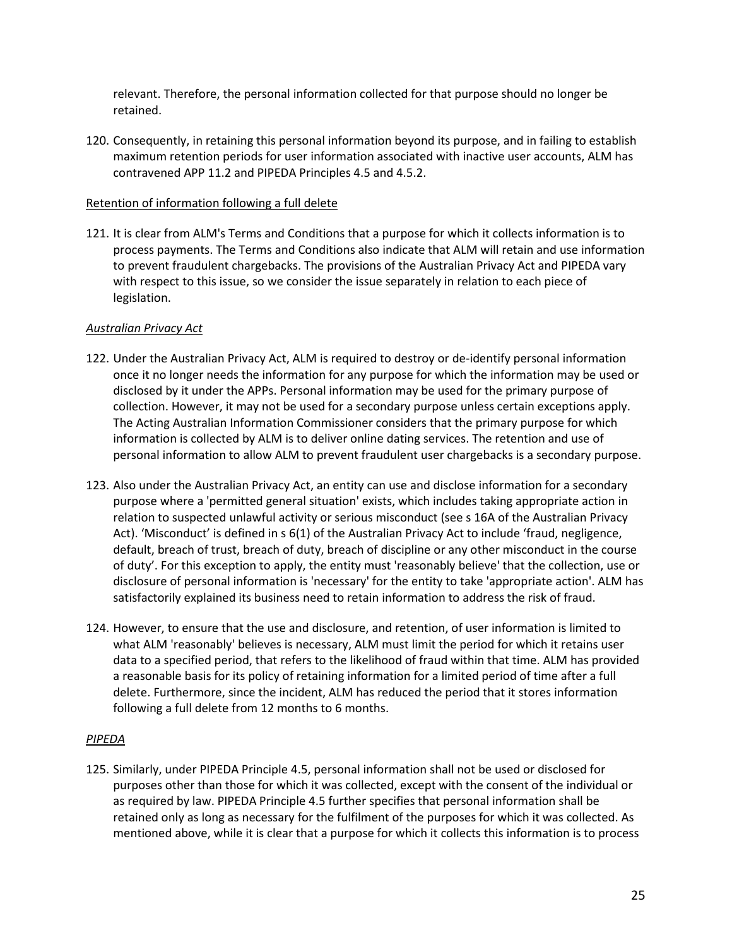relevant. Therefore, the personal information collected for that purpose should no longer be retained.

120. Consequently, in retaining this personal information beyond its purpose, and in failing to establish maximum retention periods for user information associated with inactive user accounts, ALM has contravened APP 11.2 and PIPEDA Principles 4.5 and 4.5.2.

#### Retention of information following a full delete

121. It is clear from ALM's Terms and Conditions that a purpose for which it collects information is to process payments. The Terms and Conditions also indicate that ALM will retain and use information to prevent fraudulent chargebacks. The provisions of the Australian Privacy Act and PIPEDA vary with respect to this issue, so we consider the issue separately in relation to each piece of legislation.

### *Australian Privacy Act*

- 122. Under the Australian Privacy Act, ALM is required to destroy or de-identify personal information once it no longer needs the information for any purpose for which the information may be used or disclosed by it under the APPs. Personal information may be used for the primary purpose of collection. However, it may not be used for a secondary purpose unless certain exceptions apply. The Acting Australian Information Commissioner considers that the primary purpose for which information is collected by ALM is to deliver online dating services. The retention and use of personal information to allow ALM to prevent fraudulent user chargebacks is a secondary purpose.
- 123. Also under the Australian Privacy Act, an entity can use and disclose information for a secondary purpose where a 'permitted general situation' exists, which includes taking appropriate action in relation to suspected unlawful activity or serious misconduct (see s 16A of the Australian Privacy Act). 'Misconduct' is defined in s 6(1) of the Australian Privacy Act to include 'fraud, negligence, default, breach of trust, breach of duty, breach of discipline or any other misconduct in the course of duty'. For this exception to apply, the entity must 'reasonably believe' that the collection, use or disclosure of personal information is 'necessary' for the entity to take 'appropriate action'. ALM has satisfactorily explained its business need to retain information to address the risk of fraud.
- 124. However, to ensure that the use and disclosure, and retention, of user information is limited to what ALM 'reasonably' believes is necessary, ALM must limit the period for which it retains user data to a specified period, that refers to the likelihood of fraud within that time. ALM has provided a reasonable basis for its policy of retaining information for a limited period of time after a full delete. Furthermore, since the incident, ALM has reduced the period that it stores information following a full delete from 12 months to 6 months.

#### *PIPEDA*

125. Similarly, under PIPEDA Principle 4.5, personal information shall not be used or disclosed for purposes other than those for which it was collected, except with the consent of the individual or as required by law. PIPEDA Principle 4.5 further specifies that personal information shall be retained only as long as necessary for the fulfilment of the purposes for which it was collected. As mentioned above, while it is clear that a purpose for which it collects this information is to process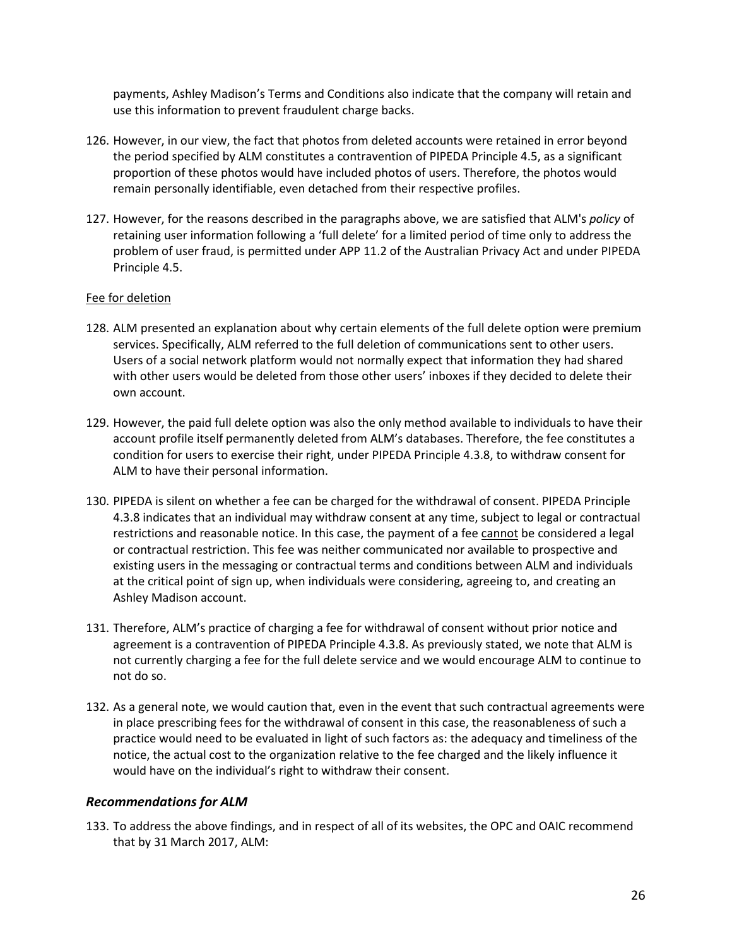payments, Ashley Madison's Terms and Conditions also indicate that the company will retain and use this information to prevent fraudulent charge backs.

- 126. However, in our view, the fact that photos from deleted accounts were retained in error beyond the period specified by ALM constitutes a contravention of PIPEDA Principle 4.5, as a significant proportion of these photos would have included photos of users. Therefore, the photos would remain personally identifiable, even detached from their respective profiles.
- 127. However, for the reasons described in the paragraphs above, we are satisfied that ALM's *policy* of retaining user information following a 'full delete' for a limited period of time only to address the problem of user fraud, is permitted under APP 11.2 of the Australian Privacy Act and under PIPEDA Principle 4.5.

#### Fee for deletion

- 128. ALM presented an explanation about why certain elements of the full delete option were premium services. Specifically, ALM referred to the full deletion of communications sent to other users. Users of a social network platform would not normally expect that information they had shared with other users would be deleted from those other users' inboxes if they decided to delete their own account.
- 129. However, the paid full delete option was also the only method available to individuals to have their account profile itself permanently deleted from ALM's databases. Therefore, the fee constitutes a condition for users to exercise their right, under PIPEDA Principle 4.3.8, to withdraw consent for ALM to have their personal information.
- 130. PIPEDA is silent on whether a fee can be charged for the withdrawal of consent. PIPEDA Principle 4.3.8 indicates that an individual may withdraw consent at any time, subject to legal or contractual restrictions and reasonable notice. In this case, the payment of a fee cannot be considered a legal or contractual restriction. This fee was neither communicated nor available to prospective and existing users in the messaging or contractual terms and conditions between ALM and individuals at the critical point of sign up, when individuals were considering, agreeing to, and creating an Ashley Madison account.
- 131. Therefore, ALM's practice of charging a fee for withdrawal of consent without prior notice and agreement is a contravention of PIPEDA Principle 4.3.8. As previously stated, we note that ALM is not currently charging a fee for the full delete service and we would encourage ALM to continue to not do so.
- 132. As a general note, we would caution that, even in the event that such contractual agreements were in place prescribing fees for the withdrawal of consent in this case, the reasonableness of such a practice would need to be evaluated in light of such factors as: the adequacy and timeliness of the notice, the actual cost to the organization relative to the fee charged and the likely influence it would have on the individual's right to withdraw their consent.

## *Recommendations for ALM*

<span id="page-25-0"></span>133. To address the above findings, and in respect of all of its websites, the OPC and OAIC recommend that by 31 March 2017, ALM: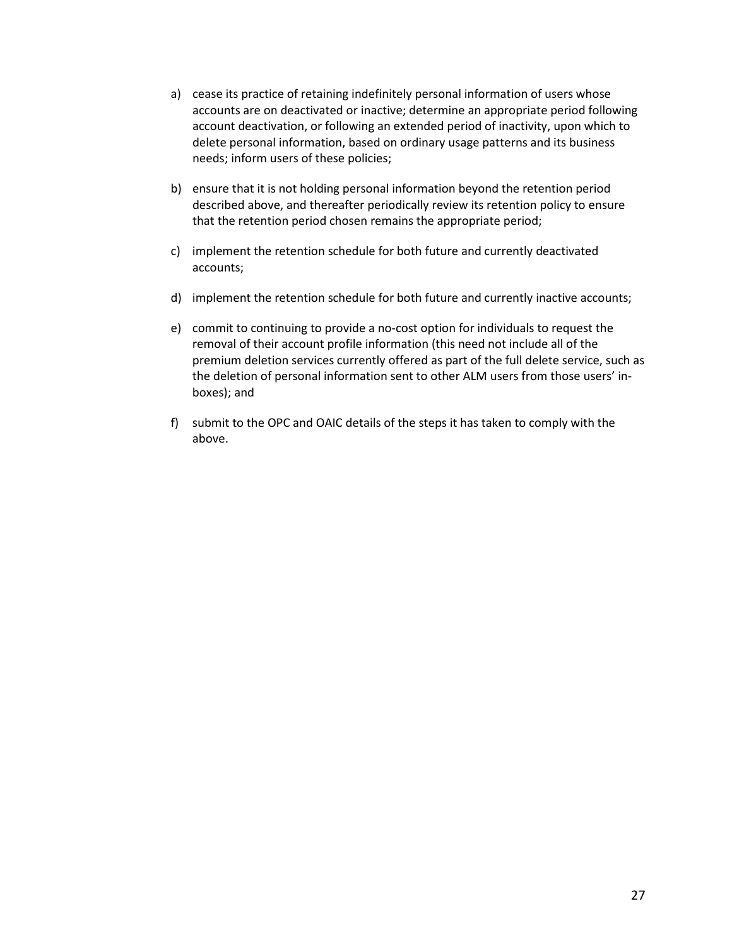- a) cease its practice of retaining indefinitely personal information of users whose accounts are on deactivated or inactive; determine an appropriate period following account deactivation, or following an extended period of inactivity, upon which to delete personal information, based on ordinary usage patterns and its business needs; inform users of these policies;
- b) ensure that it is not holding personal information beyond the retention period described above, and thereafter periodically review its retention policy to ensure that the retention period chosen remains the appropriate period;
- c) implement the retention schedule for both future and currently deactivated accounts;
- d) implement the retention schedule for both future and currently inactive accounts;
- e) commit to continuing to provide a no-cost option for individuals to request the removal of their account profile information (this need not include all of the premium deletion services currently offered as part of the full delete service, such as the deletion of personal information sent to other ALM users from those users' inboxes); and
- f) submit to the OPC and OAIC details of the steps it has taken to comply with the above.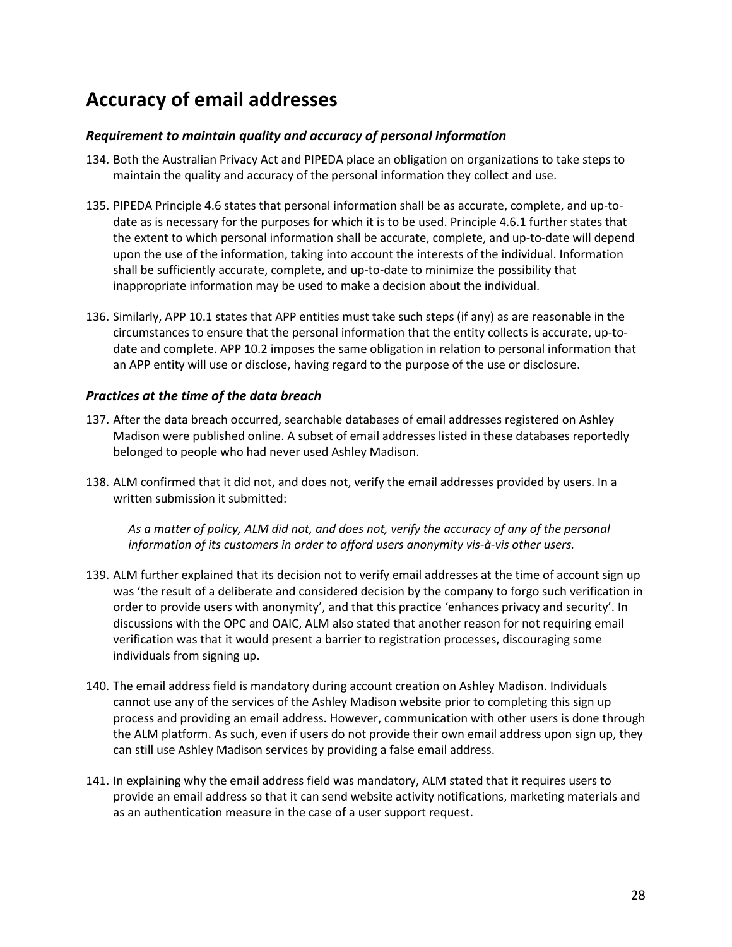# **Accuracy of email addresses**

## *Requirement to maintain quality and accuracy of personal information*

- <span id="page-27-0"></span>134. Both the Australian Privacy Act and PIPEDA place an obligation on organizations to take steps to maintain the quality and accuracy of the personal information they collect and use.
- <span id="page-27-1"></span>135. PIPEDA Principle 4.6 states that personal information shall be as accurate, complete, and up-todate as is necessary for the purposes for which it is to be used. Principle 4.6.1 further states that the extent to which personal information shall be accurate, complete, and up-to-date will depend upon the use of the information, taking into account the interests of the individual. Information shall be sufficiently accurate, complete, and up-to-date to minimize the possibility that inappropriate information may be used to make a decision about the individual.
- 136. Similarly, APP 10.1 states that APP entities must take such steps (if any) as are reasonable in the circumstances to ensure that the personal information that the entity collects is accurate, up-todate and complete. APP 10.2 imposes the same obligation in relation to personal information that an APP entity will use or disclose, having regard to the purpose of the use or disclosure.

#### *Practices at the time of the data breach*

- 137. After the data breach occurred, searchable databases of email addresses registered on Ashley Madison were published online. A subset of email addresses listed in these databases reportedly belonged to people who had never used Ashley Madison.
- <span id="page-27-2"></span>138. ALM confirmed that it did not, and does not, verify the email addresses provided by users. In a written submission it submitted:

*As a matter of policy, ALM did not, and does not, verify the accuracy of any of the personal information of its customers in order to afford users anonymity vis-à-vis other users.*

- 139. ALM further explained that its decision not to verify email addresses at the time of account sign up was 'the result of a deliberate and considered decision by the company to forgo such verification in order to provide users with anonymity', and that this practice 'enhances privacy and security'. In discussions with the OPC and OAIC, ALM also stated that another reason for not requiring email verification was that it would present a barrier to registration processes, discouraging some individuals from signing up.
- 140. The email address field is mandatory during account creation on Ashley Madison. Individuals cannot use any of the services of the Ashley Madison website prior to completing this sign up process and providing an email address. However, communication with other users is done through the ALM platform. As such, even if users do not provide their own email address upon sign up, they can still use Ashley Madison services by providing a false email address.
- 141. In explaining why the email address field was mandatory, ALM stated that it requires users to provide an email address so that it can send website activity notifications, marketing materials and as an authentication measure in the case of a user support request.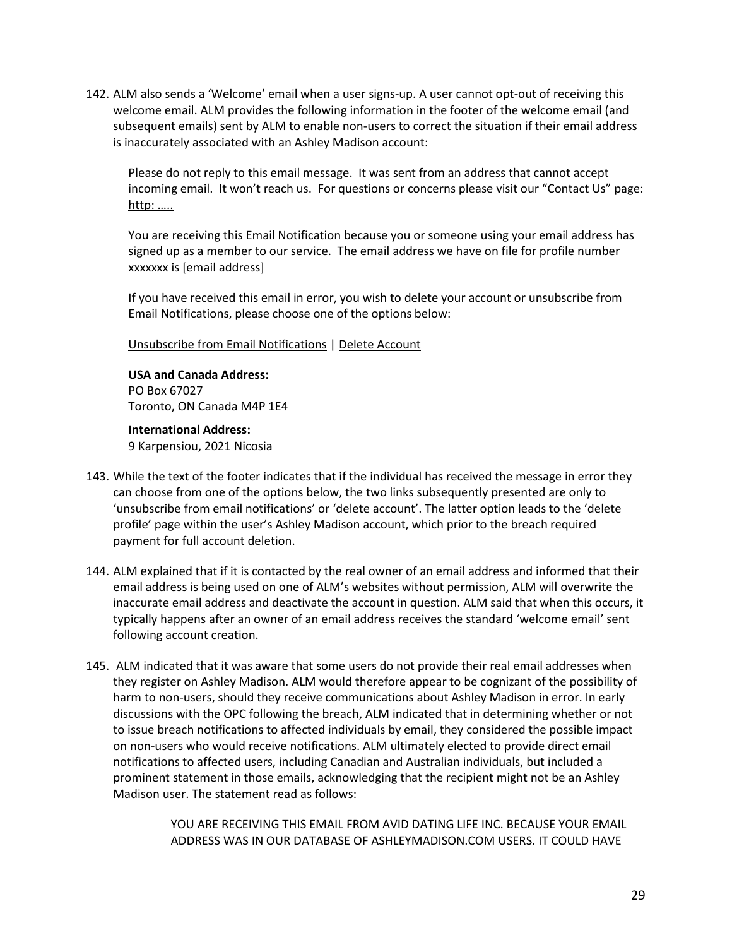142. ALM also sends a 'Welcome' email when a user signs-up. A user cannot opt-out of receiving this welcome email. ALM provides the following information in the footer of the welcome email (and subsequent emails) sent by ALM to enable non-users to correct the situation if their email address is inaccurately associated with an Ashley Madison account:

Please do not reply to this email message. It was sent from an address that cannot accept incoming email. It won't reach us. For questions or concerns please visit our "Contact Us" page: http: …..

You are receiving this Email Notification because you or someone using your email address has signed up as a member to our service. The email address we have on file for profile number xxxxxxx is [email address]

If you have received this email in error, you wish to delete your account or unsubscribe from Email Notifications, please choose one of the options below:

Unsubscribe from Email Notifications | Delete Account

**USA and Canada Address:** PO Box 67027 Toronto, ON Canada M4P 1E4

**International Address:** 9 Karpensiou, 2021 Nicosia

- 143. While the text of the footer indicates that if the individual has received the message in error they can choose from one of the options below, the two links subsequently presented are only to 'unsubscribe from email notifications' or 'delete account'. The latter option leads to the 'delete profile' page within the user's Ashley Madison account, which prior to the breach required payment for full account deletion.
- 144. ALM explained that if it is contacted by the real owner of an email address and informed that their email address is being used on one of ALM's websites without permission, ALM will overwrite the inaccurate email address and deactivate the account in question. ALM said that when this occurs, it typically happens after an owner of an email address receives the standard 'welcome email' sent following account creation.
- 145. ALM indicated that it was aware that some users do not provide their real email addresses when they register on Ashley Madison. ALM would therefore appear to be cognizant of the possibility of harm to non-users, should they receive communications about Ashley Madison in error. In early discussions with the OPC following the breach, ALM indicated that in determining whether or not to issue breach notifications to affected individuals by email, they considered the possible impact on non-users who would receive notifications. ALM ultimately elected to provide direct email notifications to affected users, including Canadian and Australian individuals, but included a prominent statement in those emails, acknowledging that the recipient might not be an Ashley Madison user. The statement read as follows:

YOU ARE RECEIVING THIS EMAIL FROM AVID DATING LIFE INC. BECAUSE YOUR EMAIL ADDRESS WAS IN OUR DATABASE OF ASHLEYMADISON.COM USERS. IT COULD HAVE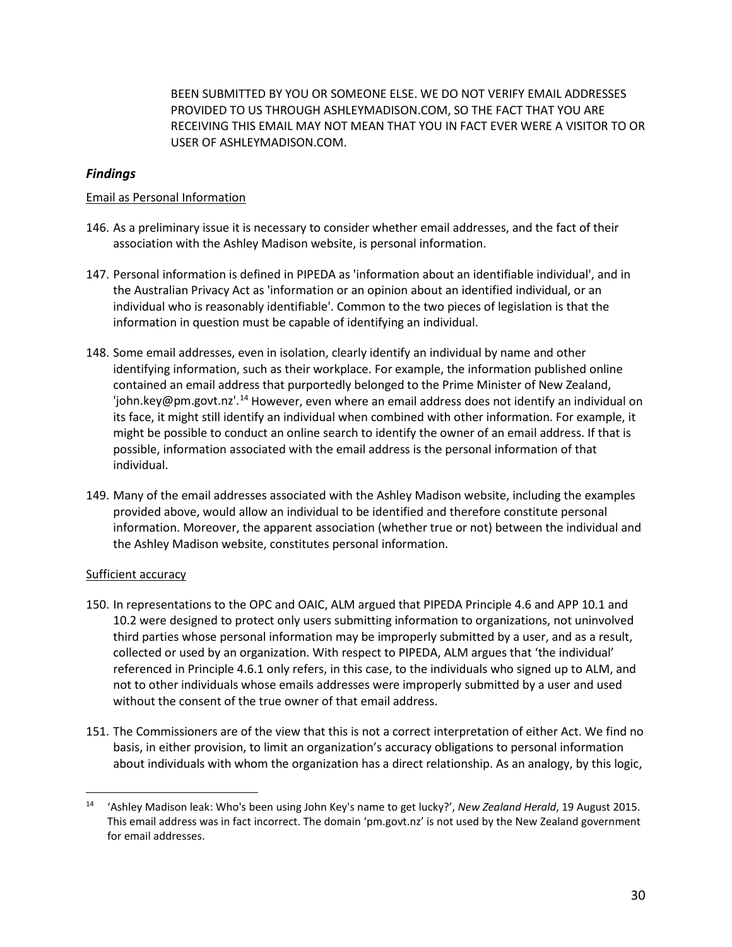BEEN SUBMITTED BY YOU OR SOMEONE ELSE. WE DO NOT VERIFY EMAIL ADDRESSES PROVIDED TO US THROUGH ASHLEYMADISON.COM, SO THE FACT THAT YOU ARE RECEIVING THIS EMAIL MAY NOT MEAN THAT YOU IN FACT EVER WERE A VISITOR TO OR USER OF ASHLEYMADISON.COM.

## *Findings*

#### Email as Personal Information

- <span id="page-29-0"></span>146. As a preliminary issue it is necessary to consider whether email addresses, and the fact of their association with the Ashley Madison website, is personal information.
- 147. Personal information is defined in PIPEDA as 'information about an identifiable individual', and in the Australian Privacy Act as 'information or an opinion about an identified individual, or an individual who is reasonably identifiable'. Common to the two pieces of legislation is that the information in question must be capable of identifying an individual.
- 148. Some email addresses, even in isolation, clearly identify an individual by name and other identifying information, such as their workplace. For example, the information published online contained an email address that purportedly belonged to the Prime Minister of New Zealand, 'john.key@pm.govt.nz'.[14](#page-29-1) However, even where an email address does not identify an individual on its face, it might still identify an individual when combined with other information. For example, it might be possible to conduct an online search to identify the owner of an email address. If that is possible, information associated with the email address is the personal information of that individual.
- 149. Many of the email addresses associated with the Ashley Madison website, including the examples provided above, would allow an individual to be identified and therefore constitute personal information. Moreover, the apparent association (whether true or not) between the individual and the Ashley Madison website, constitutes personal information.

#### Sufficient accuracy

- 150. In representations to the OPC and OAIC, ALM argued that PIPEDA Principle 4.6 and APP 10.1 and 10.2 were designed to protect only users submitting information to organizations, not uninvolved third parties whose personal information may be improperly submitted by a user, and as a result, collected or used by an organization. With respect to PIPEDA, ALM argues that 'the individual' referenced in Principle 4.6.1 only refers, in this case, to the individuals who signed up to ALM, and not to other individuals whose emails addresses were improperly submitted by a user and used without the consent of the true owner of that email address.
- 151. The Commissioners are of the view that this is not a correct interpretation of either Act. We find no basis, in either provision, to limit an organization's accuracy obligations to personal information about individuals with whom the organization has a direct relationship. As an analogy, by this logic,

<span id="page-29-1"></span> <sup>14</sup> 'Ashley Madison leak: Who's been using John Key's name to get lucky?', *New Zealand Herald*, 19 August 2015. This email address was in fact incorrect. The domain 'pm.govt.nz' is not used by the New Zealand government for email addresses.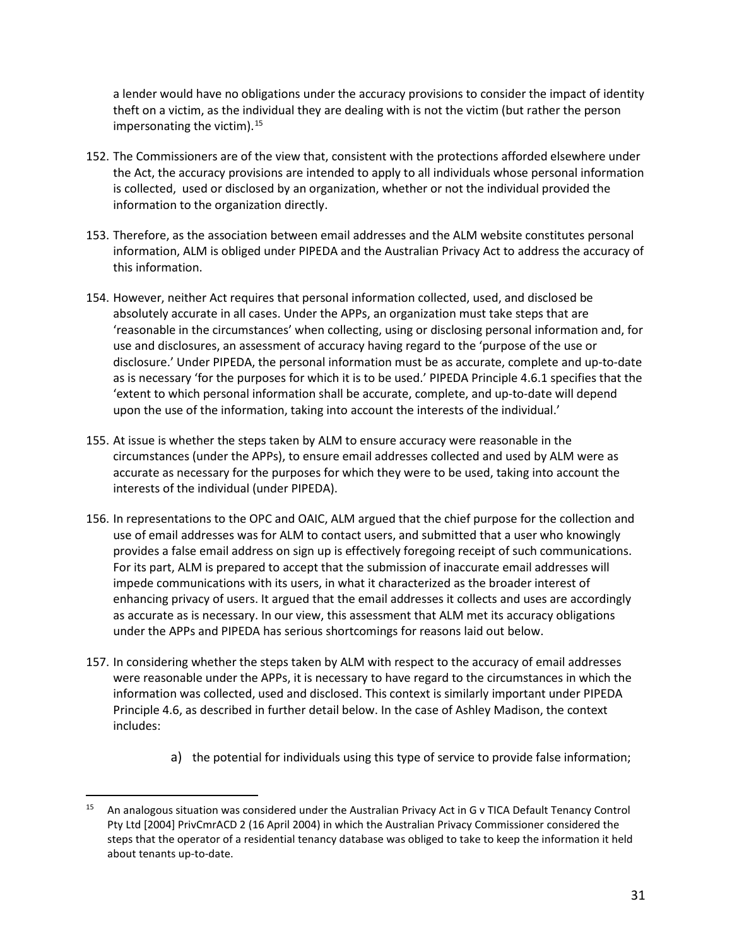a lender would have no obligations under the accuracy provisions to consider the impact of identity theft on a victim, as the individual they are dealing with is not the victim (but rather the person impersonating the victim). [15](#page-30-0)

- 152. The Commissioners are of the view that, consistent with the protections afforded elsewhere under the Act, the accuracy provisions are intended to apply to all individuals whose personal information is collected, used or disclosed by an organization, whether or not the individual provided the information to the organization directly.
- 153. Therefore, as the association between email addresses and the ALM website constitutes personal information, ALM is obliged under PIPEDA and the Australian Privacy Act to address the accuracy of this information.
- 154. However, neither Act requires that personal information collected, used, and disclosed be absolutely accurate in all cases. Under the APPs, an organization must take steps that are 'reasonable in the circumstances' when collecting, using or disclosing personal information and, for use and disclosures, an assessment of accuracy having regard to the 'purpose of the use or disclosure.' Under PIPEDA, the personal information must be as accurate, complete and up-to-date as is necessary 'for the purposes for which it is to be used.' PIPEDA Principle 4.6.1 specifies that the 'extent to which personal information shall be accurate, complete, and up-to-date will depend upon the use of the information, taking into account the interests of the individual.'
- 155. At issue is whether the steps taken by ALM to ensure accuracy were reasonable in the circumstances (under the APPs), to ensure email addresses collected and used by ALM were as accurate as necessary for the purposes for which they were to be used, taking into account the interests of the individual (under PIPEDA).
- 156. In representations to the OPC and OAIC, ALM argued that the chief purpose for the collection and use of email addresses was for ALM to contact users, and submitted that a user who knowingly provides a false email address on sign up is effectively foregoing receipt of such communications. For its part, ALM is prepared to accept that the submission of inaccurate email addresses will impede communications with its users, in what it characterized as the broader interest of enhancing privacy of users. It argued that the email addresses it collects and uses are accordingly as accurate as is necessary. In our view, this assessment that ALM met its accuracy obligations under the APPs and PIPEDA has serious shortcomings for reasons laid out below.
- 157. In considering whether the steps taken by ALM with respect to the accuracy of email addresses were reasonable under the APPs, it is necessary to have regard to the circumstances in which the information was collected, used and disclosed. This context is similarly important under PIPEDA Principle 4.6, as described in further detail below. In the case of Ashley Madison, the context includes:
	- a) the potential for individuals using this type of service to provide false information;

<span id="page-30-0"></span><sup>&</sup>lt;sup>15</sup> An analogous situation was considered under the Australian Privacy Act in G v TICA Default Tenancy Control Pty Ltd [2004] PrivCmrACD 2 (16 April 2004) in which the Australian Privacy Commissioner considered the steps that the operator of a residential tenancy database was obliged to take to keep the information it held about tenants up-to-date.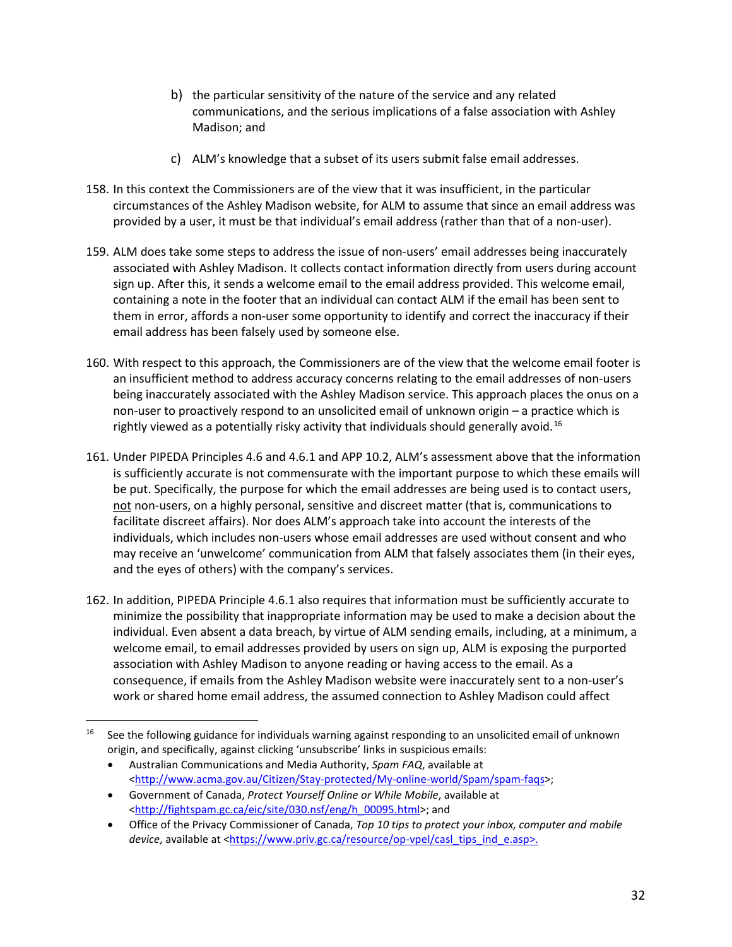- b) the particular sensitivity of the nature of the service and any related communications, and the serious implications of a false association with Ashley Madison; and
- c) ALM's knowledge that a subset of its users submit false email addresses.
- 158. In this context the Commissioners are of the view that it was insufficient, in the particular circumstances of the Ashley Madison website, for ALM to assume that since an email address was provided by a user, it must be that individual's email address (rather than that of a non-user).
- 159. ALM does take some steps to address the issue of non-users' email addresses being inaccurately associated with Ashley Madison. It collects contact information directly from users during account sign up. After this, it sends a welcome email to the email address provided. This welcome email, containing a note in the footer that an individual can contact ALM if the email has been sent to them in error, affords a non-user some opportunity to identify and correct the inaccuracy if their email address has been falsely used by someone else.
- 160. With respect to this approach, the Commissioners are of the view that the welcome email footer is an insufficient method to address accuracy concerns relating to the email addresses of non-users being inaccurately associated with the Ashley Madison service. This approach places the onus on a non-user to proactively respond to an unsolicited email of unknown origin – a practice which is rightly viewed as a potentially risky activity that individuals should generally avoid.[16](#page-31-0)
- 161. Under PIPEDA Principles 4.6 and 4.6.1 and APP 10.2, ALM's assessment above that the information is sufficiently accurate is not commensurate with the important purpose to which these emails will be put. Specifically, the purpose for which the email addresses are being used is to contact users, not non-users, on a highly personal, sensitive and discreet matter (that is, communications to facilitate discreet affairs). Nor does ALM's approach take into account the interests of the individuals, which includes non-users whose email addresses are used without consent and who may receive an 'unwelcome' communication from ALM that falsely associates them (in their eyes, and the eyes of others) with the company's services.
- 162. In addition, PIPEDA Principle 4.6.1 also requires that information must be sufficiently accurate to minimize the possibility that inappropriate information may be used to make a decision about the individual. Even absent a data breach, by virtue of ALM sending emails, including, at a minimum, a welcome email, to email addresses provided by users on sign up, ALM is exposing the purported association with Ashley Madison to anyone reading or having access to the email. As a consequence, if emails from the Ashley Madison website were inaccurately sent to a non-user's work or shared home email address, the assumed connection to Ashley Madison could affect

<span id="page-31-0"></span> <sup>16</sup> See the following guidance for individuals warning against responding to an unsolicited email of unknown origin, and specifically, against clicking 'unsubscribe' links in suspicious emails:

<sup>•</sup> Australian Communications and Media Authority, *Spam FAQ*, available at [<http://www.acma.gov.au/Citizen/Stay-protected/My-online-world/Spam/spam-faqs>](http://www.acma.gov.au/Citizen/Stay-protected/My-online-world/Spam/spam-faqs);

<sup>•</sup> Government of Canada, *Protect Yourself Online or While Mobile*, available at [<http://fightspam.gc.ca/eic/site/030.nsf/eng/h\\_00095.html>](http://fightspam.gc.ca/eic/site/030.nsf/eng/h_00095.html); and

<sup>•</sup> Office of the Privacy Commissioner of Canada, *Top 10 tips to protect your inbox, computer and mobile device*, available at [<https://www.priv.gc.ca/resource/op-vpel/casl\\_tips\\_ind\\_e.asp>](https://www.priv.gc.ca/resource/op-vpel/casl_tips_ind_e.asp).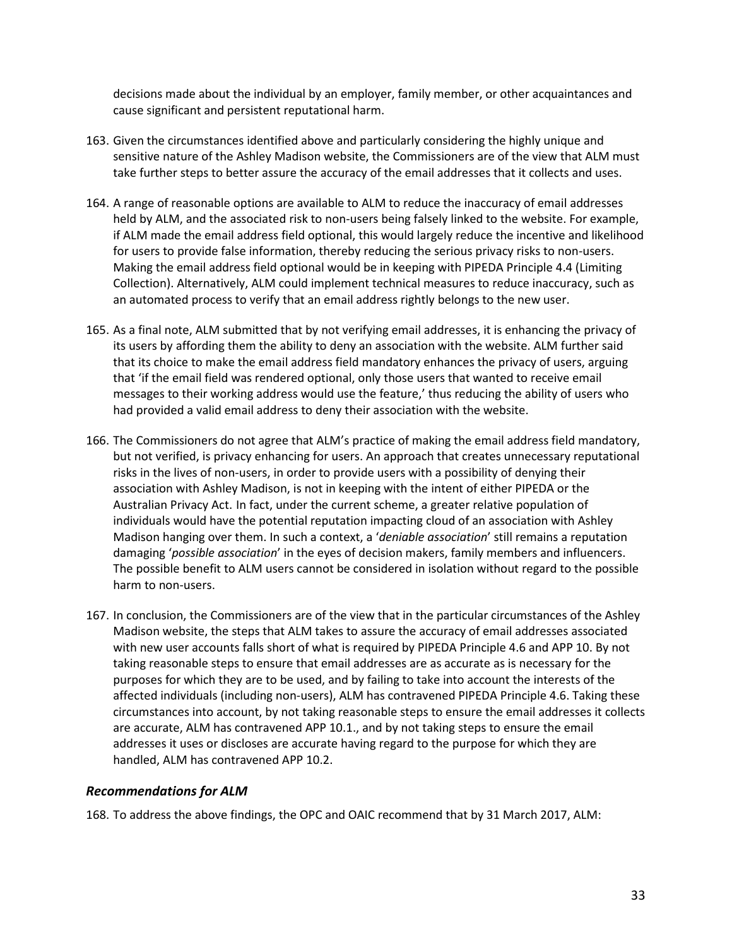decisions made about the individual by an employer, family member, or other acquaintances and cause significant and persistent reputational harm.

- 163. Given the circumstances identified above and particularly considering the highly unique and sensitive nature of the Ashley Madison website, the Commissioners are of the view that ALM must take further steps to better assure the accuracy of the email addresses that it collects and uses.
- 164. A range of reasonable options are available to ALM to reduce the inaccuracy of email addresses held by ALM, and the associated risk to non-users being falsely linked to the website. For example, if ALM made the email address field optional, this would largely reduce the incentive and likelihood for users to provide false information, thereby reducing the serious privacy risks to non-users. Making the email address field optional would be in keeping with PIPEDA Principle 4.4 (Limiting Collection). Alternatively, ALM could implement technical measures to reduce inaccuracy, such as an automated process to verify that an email address rightly belongs to the new user.
- 165. As a final note, ALM submitted that by not verifying email addresses, it is enhancing the privacy of its users by affording them the ability to deny an association with the website. ALM further said that its choice to make the email address field mandatory enhances the privacy of users, arguing that 'if the email field was rendered optional, only those users that wanted to receive email messages to their working address would use the feature,' thus reducing the ability of users who had provided a valid email address to deny their association with the website.
- 166. The Commissioners do not agree that ALM's practice of making the email address field mandatory, but not verified, is privacy enhancing for users. An approach that creates unnecessary reputational risks in the lives of non-users, in order to provide users with a possibility of denying their association with Ashley Madison, is not in keeping with the intent of either PIPEDA or the Australian Privacy Act. In fact, under the current scheme, a greater relative population of individuals would have the potential reputation impacting cloud of an association with Ashley Madison hanging over them. In such a context, a '*deniable association*' still remains a reputation damaging '*possible association*' in the eyes of decision makers, family members and influencers. The possible benefit to ALM users cannot be considered in isolation without regard to the possible harm to non-users.
- 167. In conclusion, the Commissioners are of the view that in the particular circumstances of the Ashley Madison website, the steps that ALM takes to assure the accuracy of email addresses associated with new user accounts falls short of what is required by PIPEDA Principle 4.6 and APP 10. By not taking reasonable steps to ensure that email addresses are as accurate as is necessary for the purposes for which they are to be used, and by failing to take into account the interests of the affected individuals (including non-users), ALM has contravened PIPEDA Principle 4.6. Taking these circumstances into account, by not taking reasonable steps to ensure the email addresses it collects are accurate, ALM has contravened APP 10.1., and by not taking steps to ensure the email addresses it uses or discloses are accurate having regard to the purpose for which they are handled, ALM has contravened APP 10.2.

#### *Recommendations for ALM*

<span id="page-32-0"></span>168. To address the above findings, the OPC and OAIC recommend that by 31 March 2017, ALM: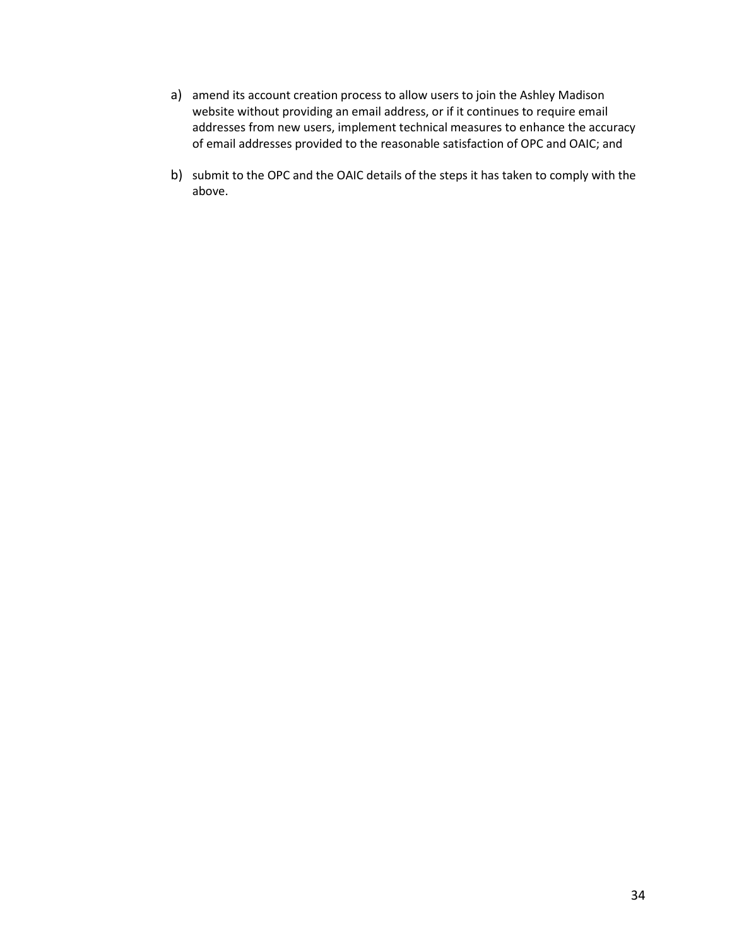- a) amend its account creation process to allow users to join the Ashley Madison website without providing an email address, or if it continues to require email addresses from new users, implement technical measures to enhance the accuracy of email addresses provided to the reasonable satisfaction of OPC and OAIC; and
- b) submit to the OPC and the OAIC details of the steps it has taken to comply with the above.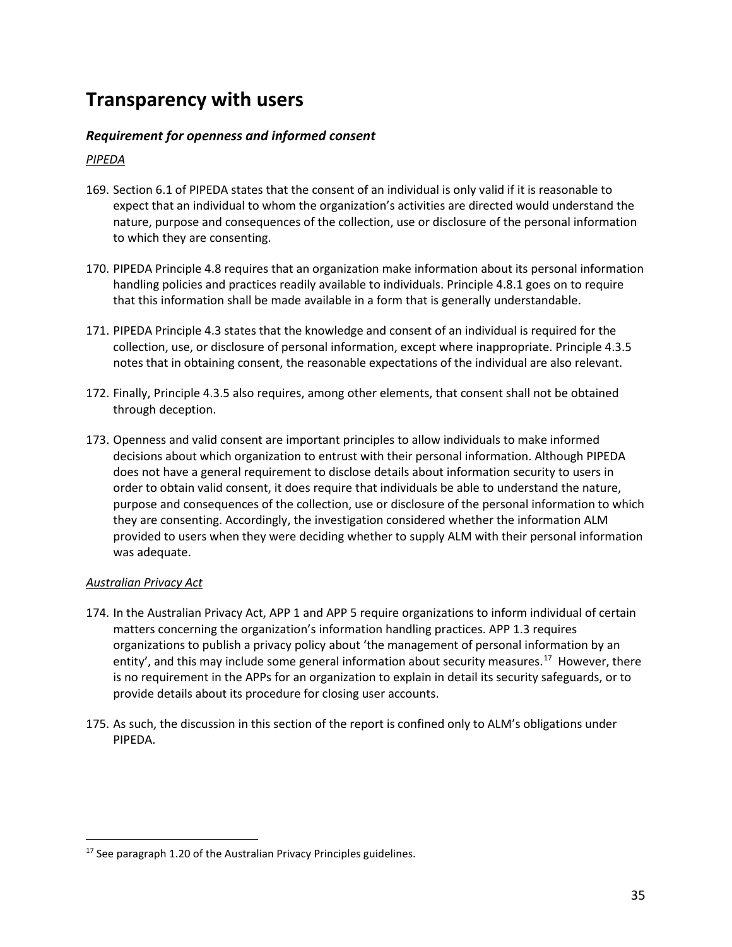## **Transparency with users**

## *Requirement for openness and informed consent*

### <span id="page-34-0"></span>*PIPEDA*

- <span id="page-34-1"></span>169. Section 6.1 of PIPEDA states that the consent of an individual is only valid if it is reasonable to expect that an individual to whom the organization's activities are directed would understand the nature, purpose and consequences of the collection, use or disclosure of the personal information to which they are consenting.
- 170. PIPEDA Principle 4.8 requires that an organization make information about its personal information handling policies and practices readily available to individuals. Principle 4.8.1 goes on to require that this information shall be made available in a form that is generally understandable.
- 171. PIPEDA Principle 4.3 states that the knowledge and consent of an individual is required for the collection, use, or disclosure of personal information, except where inappropriate. Principle 4.3.5 notes that in obtaining consent, the reasonable expectations of the individual are also relevant.
- 172. Finally, Principle 4.3.5 also requires, among other elements, that consent shall not be obtained through deception.
- 173. Openness and valid consent are important principles to allow individuals to make informed decisions about which organization to entrust with their personal information. Although PIPEDA does not have a general requirement to disclose details about information security to users in order to obtain valid consent, it does require that individuals be able to understand the nature, purpose and consequences of the collection, use or disclosure of the personal information to which they are consenting. Accordingly, the investigation considered whether the information ALM provided to users when they were deciding whether to supply ALM with their personal information was adequate.

#### *Australian Privacy Act*

- 174. In the Australian Privacy Act, APP 1 and APP 5 require organizations to inform individual of certain matters concerning the organization's information handling practices. APP 1.3 requires organizations to publish a privacy policy about 'the management of personal information by an entity', and this may include some general information about security measures.<sup>17</sup> However, there is no requirement in the APPs for an organization to explain in detail its security safeguards, or to provide details about its procedure for closing user accounts.
- 175. As such, the discussion in this section of the report is confined only to ALM's obligations under PIPEDA.

<span id="page-34-2"></span> $17$  See paragraph 1.20 of the Australian Privacy Principles guidelines.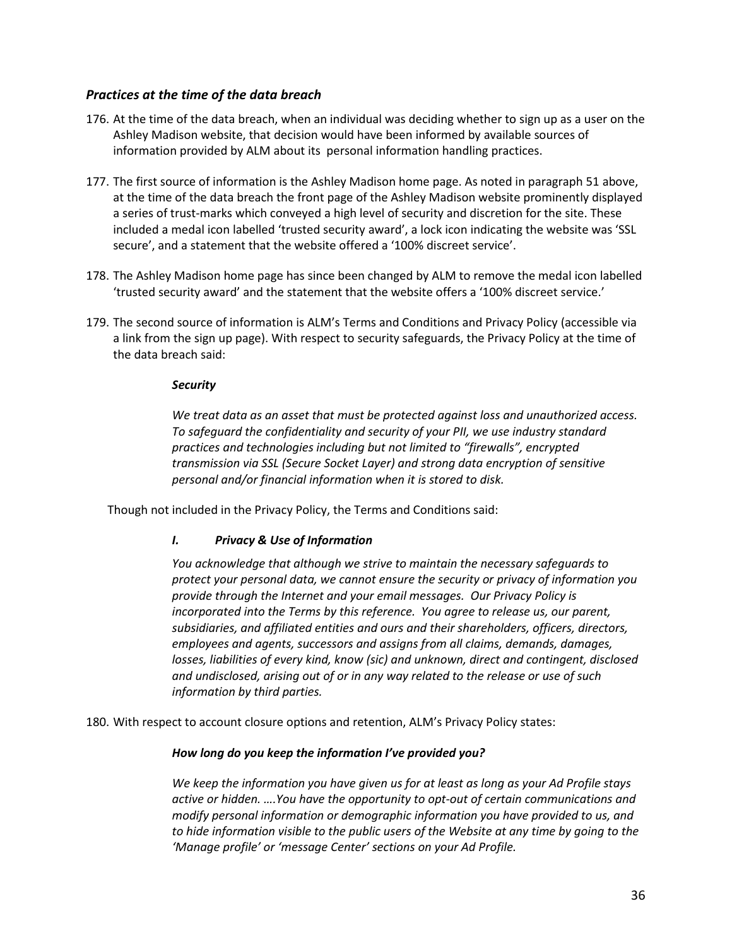## *Practices at the time of the data breach*

- 176. At the time of the data breach, when an individual was deciding whether to sign up as a user on the Ashley Madison website, that decision would have been informed by available sources of information provided by ALM about its personal information handling practices.
- <span id="page-35-0"></span>177. The first source of information is the Ashley Madison home page. As noted in paragraph 51 above, at the time of the data breach the front page of the Ashley Madison website prominently displayed a series of trust-marks which conveyed a high level of security and discretion for the site. These included a medal icon labelled 'trusted security award', a lock icon indicating the website was 'SSL secure', and a statement that the website offered a '100% discreet service'.
- 178. The Ashley Madison home page has since been changed by ALM to remove the medal icon labelled 'trusted security award' and the statement that the website offers a '100% discreet service.'
- 179. The second source of information is ALM's Terms and Conditions and Privacy Policy (accessible via a link from the sign up page). With respect to security safeguards, the Privacy Policy at the time of the data breach said:

#### *Security*

*We treat data as an asset that must be protected against loss and unauthorized access. To safeguard the confidentiality and security of your PII, we use industry standard practices and technologies including but not limited to "firewalls", encrypted transmission via SSL (Secure Socket Layer) and strong data encryption of sensitive personal and/or financial information when it is stored to disk.*

Though not included in the Privacy Policy, the Terms and Conditions said:

#### *I. Privacy & Use of Information*

*You acknowledge that although we strive to maintain the necessary safeguards to protect your personal data, we cannot ensure the security or privacy of information you provide through the Internet and your email messages. Our Privacy Policy is incorporated into the Terms by this reference. You agree to release us, our parent, subsidiaries, and affiliated entities and ours and their shareholders, officers, directors, employees and agents, successors and assigns from all claims, demands, damages, losses, liabilities of every kind, know (sic) and unknown, direct and contingent, disclosed and undisclosed, arising out of or in any way related to the release or use of such information by third parties.* 

180. With respect to account closure options and retention, ALM's Privacy Policy states:

#### *How long do you keep the information I've provided you?*

*We keep the information you have given us for at least as long as your Ad Profile stays active or hidden. ….You have the opportunity to opt-out of certain communications and modify personal information or demographic information you have provided to us, and to hide information visible to the public users of the Website at any time by going to the 'Manage profile' or 'message Center' sections on your Ad Profile.*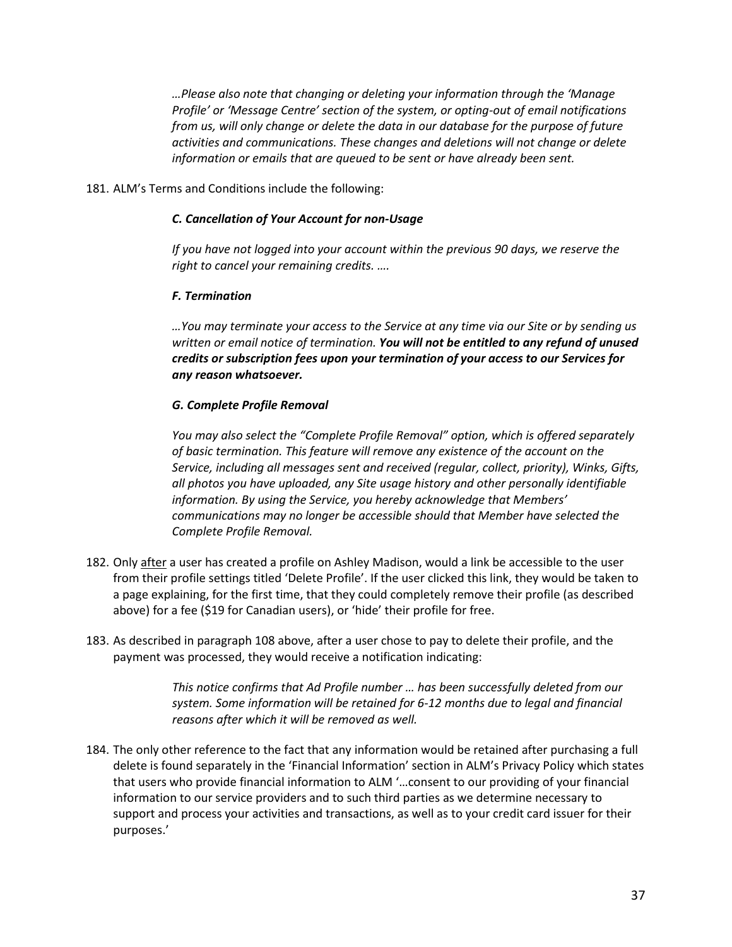*…Please also note that changing or deleting your information through the 'Manage Profile' or 'Message Centre' section of the system, or opting-out of email notifications from us, will only change or delete the data in our database for the purpose of future activities and communications. These changes and deletions will not change or delete information or emails that are queued to be sent or have already been sent.*

181. ALM's Terms and Conditions include the following:

#### *C. Cancellation of Your Account for non-Usage*

*If you have not logged into your account within the previous 90 days, we reserve the right to cancel your remaining credits. ….*

#### *F. Termination*

*…You may terminate your access to the Service at any time via our Site or by sending us written or email notice of termination. You will not be entitled to any refund of unused credits or subscription fees upon your termination of your access to our Services for any reason whatsoever.*

#### *G. Complete Profile Removal*

*You may also select the "Complete Profile Removal" option, which is offered separately of basic termination. This feature will remove any existence of the account on the Service, including all messages sent and received (regular, collect, priority), Winks, Gifts, all photos you have uploaded, any Site usage history and other personally identifiable information. By using the Service, you hereby acknowledge that Members' communications may no longer be accessible should that Member have selected the Complete Profile Removal.*

- 182. Only after a user has created a profile on Ashley Madison, would a link be accessible to the user from their profile settings titled 'Delete Profile'. If the user clicked this link, they would be taken to a page explaining, for the first time, that they could completely remove their profile (as described above) for a fee (\$19 for Canadian users), or 'hide' their profile for free.
- 183. As described in paragraph 108 above, after a user chose to pay to delete their profile, and the payment was processed, they would receive a notification indicating:

*This notice confirms that Ad Profile number … has been successfully deleted from our system. Some information will be retained for 6-12 months due to legal and financial reasons after which it will be removed as well.*

184. The only other reference to the fact that any information would be retained after purchasing a full delete is found separately in the 'Financial Information' section in ALM's Privacy Policy which states that users who provide financial information to ALM '…consent to our providing of your financial information to our service providers and to such third parties as we determine necessary to support and process your activities and transactions, as well as to your credit card issuer for their purposes.'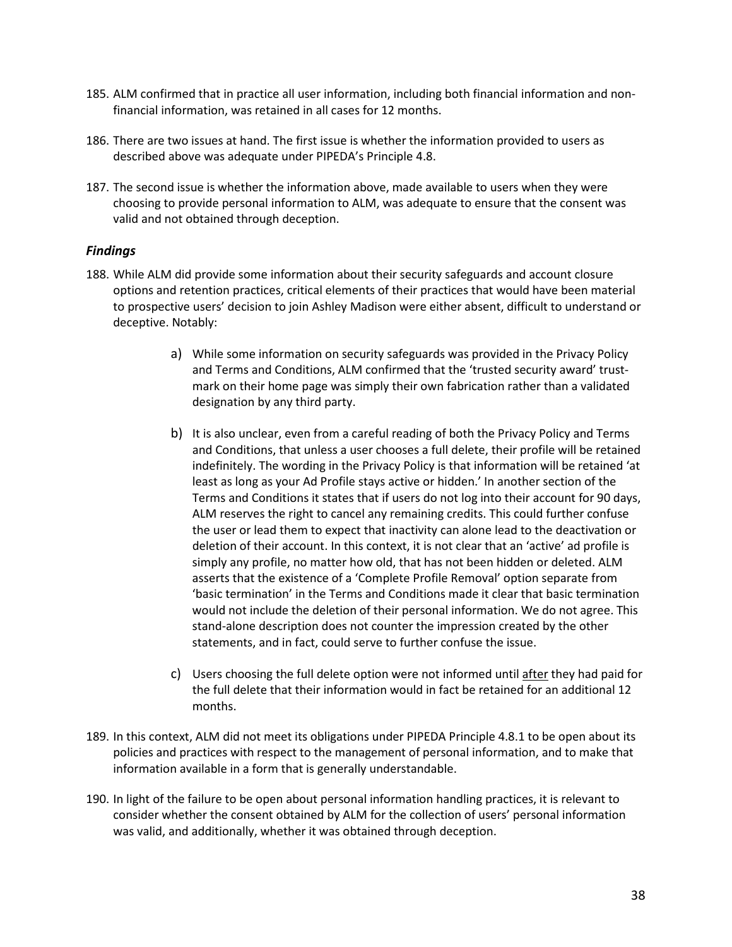- 185. ALM confirmed that in practice all user information, including both financial information and nonfinancial information, was retained in all cases for 12 months.
- 186. There are two issues at hand. The first issue is whether the information provided to users as described above was adequate under PIPEDA's Principle 4.8.
- 187. The second issue is whether the information above, made available to users when they were choosing to provide personal information to ALM, was adequate to ensure that the consent was valid and not obtained through deception.

## *Findings*

- <span id="page-37-0"></span>188. While ALM did provide some information about their security safeguards and account closure options and retention practices, critical elements of their practices that would have been material to prospective users' decision to join Ashley Madison were either absent, difficult to understand or deceptive. Notably:
	- a) While some information on security safeguards was provided in the Privacy Policy and Terms and Conditions, ALM confirmed that the 'trusted security award' trustmark on their home page was simply their own fabrication rather than a validated designation by any third party.
	- b) It is also unclear, even from a careful reading of both the Privacy Policy and Terms and Conditions, that unless a user chooses a full delete, their profile will be retained indefinitely. The wording in the Privacy Policy is that information will be retained 'at least as long as your Ad Profile stays active or hidden.' In another section of the Terms and Conditions it states that if users do not log into their account for 90 days, ALM reserves the right to cancel any remaining credits. This could further confuse the user or lead them to expect that inactivity can alone lead to the deactivation or deletion of their account. In this context, it is not clear that an 'active' ad profile is simply any profile, no matter how old, that has not been hidden or deleted. ALM asserts that the existence of a 'Complete Profile Removal' option separate from 'basic termination' in the Terms and Conditions made it clear that basic termination would not include the deletion of their personal information. We do not agree. This stand-alone description does not counter the impression created by the other statements, and in fact, could serve to further confuse the issue.
	- c) Users choosing the full delete option were not informed until after they had paid for the full delete that their information would in fact be retained for an additional 12 months.
- 189. In this context, ALM did not meet its obligations under PIPEDA Principle 4.8.1 to be open about its policies and practices with respect to the management of personal information, and to make that information available in a form that is generally understandable.
- 190. In light of the failure to be open about personal information handling practices, it is relevant to consider whether the consent obtained by ALM for the collection of users' personal information was valid, and additionally, whether it was obtained through deception.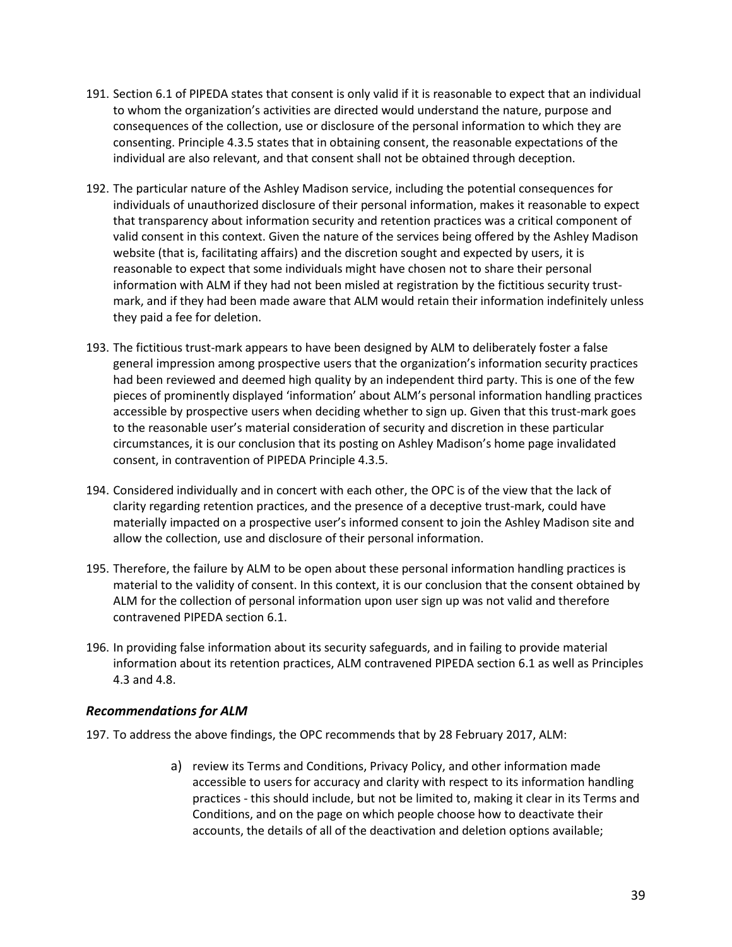- 191. Section 6.1 of PIPEDA states that consent is only valid if it is reasonable to expect that an individual to whom the organization's activities are directed would understand the nature, purpose and consequences of the collection, use or disclosure of the personal information to which they are consenting. Principle 4.3.5 states that in obtaining consent, the reasonable expectations of the individual are also relevant, and that consent shall not be obtained through deception.
- 192. The particular nature of the Ashley Madison service, including the potential consequences for individuals of unauthorized disclosure of their personal information, makes it reasonable to expect that transparency about information security and retention practices was a critical component of valid consent in this context. Given the nature of the services being offered by the Ashley Madison website (that is, facilitating affairs) and the discretion sought and expected by users, it is reasonable to expect that some individuals might have chosen not to share their personal information with ALM if they had not been misled at registration by the fictitious security trustmark, and if they had been made aware that ALM would retain their information indefinitely unless they paid a fee for deletion.
- 193. The fictitious trust-mark appears to have been designed by ALM to deliberately foster a false general impression among prospective users that the organization's information security practices had been reviewed and deemed high quality by an independent third party. This is one of the few pieces of prominently displayed 'information' about ALM's personal information handling practices accessible by prospective users when deciding whether to sign up. Given that this trust-mark goes to the reasonable user's material consideration of security and discretion in these particular circumstances, it is our conclusion that its posting on Ashley Madison's home page invalidated consent, in contravention of PIPEDA Principle 4.3.5.
- 194. Considered individually and in concert with each other, the OPC is of the view that the lack of clarity regarding retention practices, and the presence of a deceptive trust-mark, could have materially impacted on a prospective user's informed consent to join the Ashley Madison site and allow the collection, use and disclosure of their personal information.
- 195. Therefore, the failure by ALM to be open about these personal information handling practices is material to the validity of consent. In this context, it is our conclusion that the consent obtained by ALM for the collection of personal information upon user sign up was not valid and therefore contravened PIPEDA section 6.1.
- 196. In providing false information about its security safeguards, and in failing to provide material information about its retention practices, ALM contravened PIPEDA section 6.1 as well as Principles 4.3 and 4.8.

## *Recommendations for ALM*

<span id="page-38-0"></span>197. To address the above findings, the OPC recommends that by 28 February 2017, ALM:

a) review its Terms and Conditions, Privacy Policy, and other information made accessible to users for accuracy and clarity with respect to its information handling practices - this should include, but not be limited to, making it clear in its Terms and Conditions, and on the page on which people choose how to deactivate their accounts, the details of all of the deactivation and deletion options available;